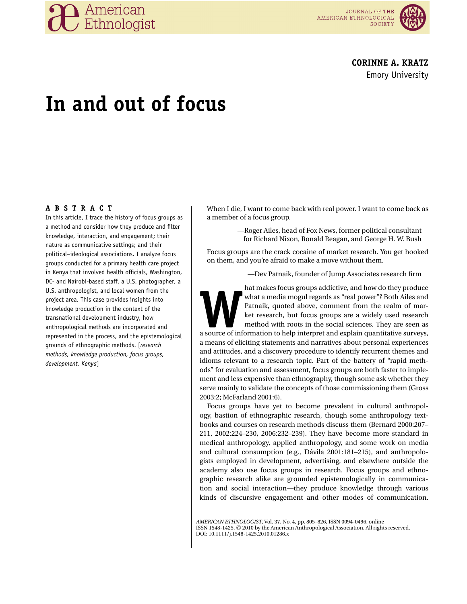



# **CORINNE A. KRATZ** Emory University

# **In and out of focus**

# **ABSTRACT**

In this article, I trace the history of focus groups as a method and consider how they produce and filter knowledge, interaction, and engagement; their nature as communicative settings; and their political–ideological associations. I analyze focus groups conducted for a primary health care project in Kenya that involved health officials, Washington, DC- and Nairobi-based staff, a U.S. photographer, a U.S. anthropologist, and local women from the project area. This case provides insights into knowledge production in the context of the transnational development industry, how anthropological methods are incorporated and represented in the process, and the epistemological grounds of ethnographic methods. [*research methods, knowledge production, focus groups, development, Kenya*]

When I die, I want to come back with real power. I want to come back as a member of a focus group.

> —Roger Ailes, head of Fox News, former political consultant for Richard Nixon, Ronald Reagan, and George H. W. Bush

Focus groups are the crack cocaine of market research. You get hooked on them, and you're afraid to make a move without them.

—Dev Patnaik, founder of Jump Associates research firm

hat makes focus groups addictive, and how do they produce<br>what a media mogul regards as "real power"? Both Ailes and<br>Patnaik, quoted above, comment from the realm of mar-<br>ket research, but focus groups are a widely used re what a media mogul regards as "real power"? Both Ailes and Patnaik, quoted above, comment from the realm of market research, but focus groups are a widely used research method with roots in the social sciences. They are seen as a source of information to help interpret and explain quantitative surveys, a means of eliciting statements and narratives about personal experiences and attitudes, and a discovery procedure to identify recurrent themes and idioms relevant to a research topic. Part of the battery of "rapid methods" for evaluation and assessment, focus groups are both faster to implement and less expensive than ethnography, though some ask whether they serve mainly to validate the concepts of those commissioning them (Gross 2003:2; McFarland 2001:6).

Focus groups have yet to become prevalent in cultural anthropology, bastion of ethnographic research, though some anthropology textbooks and courses on research methods discuss them (Bernard 2000:207– 211, 2002:224–230, 2006:232–239). They have become more standard in medical anthropology, applied anthropology, and some work on media and cultural consumption (e.g., Dávila 2001:181-215), and anthropologists employed in development, advertising, and elsewhere outside the academy also use focus groups in research. Focus groups and ethnographic research alike are grounded epistemologically in communication and social interaction—they produce knowledge through various kinds of discursive engagement and other modes of communication.

*AMERICAN ETHNOLOGIST*, Vol. 37, No. 4, pp. 805–826, ISSN 0094-0496, online ISSN 1548-1425. © 2010 by the American Anthropological Association. All rights reserved. DOI: 10.1111/j.1548-1425.2010.01286.x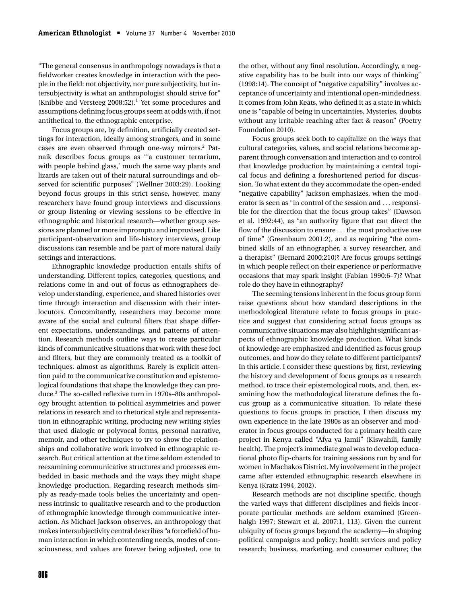"The general consensus in anthropology nowadays is that a fieldworker creates knowledge in interaction with the people in the field: not objectivity, nor pure subjectivity, but intersubjectivity is what an anthropologist should strive for" (Knibbe and Versteeg 2008:52). $<sup>1</sup>$  Yet some procedures and</sup> assumptions defining focus groups seem at odds with, if not antithetical to, the ethnographic enterprise.

Focus groups are, by definition, artificially created settings for interaction, ideally among strangers, and in some cases are even observed through one-way mirrors.<sup>2</sup> Patnaik describes focus groups as "'a customer terrarium, with people behind glass,' much the same way plants and lizards are taken out of their natural surroundings and observed for scientific purposes" (Wellner 2003:29). Looking beyond focus groups in this strict sense, however, many researchers have found group interviews and discussions or group listening or viewing sessions to be effective in ethnographic and historical research—whether group sessions are planned or more impromptu and improvised. Like participant-observation and life-history interviews, group discussions can resemble and be part of more natural daily settings and interactions.

Ethnographic knowledge production entails shifts of understanding. Different topics, categories, questions, and relations come in and out of focus as ethnographers develop understanding, experience, and shared histories over time through interaction and discussion with their interlocutors. Concomitantly, researchers may become more aware of the social and cultural filters that shape different expectations, understandings, and patterns of attention. Research methods outline ways to create particular kinds of communicative situations that work with these foci and filters, but they are commonly treated as a toolkit of techniques, almost as algorithms. Rarely is explicit attention paid to the communicative constitution and epistemological foundations that shape the knowledge they can produce.<sup>3</sup> The so-called reflexive turn in 1970s–80s anthropology brought attention to political asymmetries and power relations in research and to rhetorical style and representation in ethnographic writing, producing new writing styles that used dialogic or polyvocal forms, personal narrative, memoir, and other techniques to try to show the relationships and collaborative work involved in ethnographic research. But critical attention at the time seldom extended to reexamining communicative structures and processes embedded in basic methods and the ways they might shape knowledge production. Regarding research methods simply as ready-made tools belies the uncertainty and openness intrinsic to qualitative research and to the production of ethnographic knowledge through communicative interaction. As Michael Jackson observes, an anthropology that makes intersubjectivity central describes "a forcefield of human interaction in which contending needs, modes of consciousness, and values are forever being adjusted, one to

the other, without any final resolution. Accordingly, a negative capability has to be built into our ways of thinking" (1998:14). The concept of "negative capability" involves acceptance of uncertainty and intentional open-mindedness. It comes from John Keats, who defined it as a state in which one is "capable of being in uncertainties, Mysteries, doubts without any irritable reaching after fact & reason" (Poetry Foundation 2010).

Focus groups seek both to capitalize on the ways that cultural categories, values, and social relations become apparent through conversation and interaction and to control that knowledge production by maintaining a central topical focus and defining a foreshortened period for discussion. To what extent do they accommodate the open-ended "negative capability" Jackson emphasizes, when the moderator is seen as "in control of the session and ... responsible for the direction that the focus group takes" (Dawson et al. 1992:44), as "an authority figure that can direct the flow of the discussion to ensure ... the most productive use of time" (Greenbaum 2001:2), and as requiring "the combined skills of an ethnographer, a survey researcher, and a therapist" (Bernard 2000:210)? Are focus groups settings in which people reflect on their experience or performative occasions that may spark insight (Fabian 1990:6–7)? What role do they have in ethnography?

The seeming tensions inherent in the focus group form raise questions about how standard descriptions in the methodological literature relate to focus groups in practice and suggest that considering actual focus groups as communicative situations may also highlight significant aspects of ethnographic knowledge production. What kinds of knowledge are emphasized and identified as focus group outcomes, and how do they relate to different participants? In this article, I consider these questions by, first, reviewing the history and development of focus groups as a research method, to trace their epistemological roots, and, then, examining how the methodological literature defines the focus group as a communicative situation. To relate these questions to focus groups in practice, I then discuss my own experience in the late 1980s as an observer and moderator in focus groups conducted for a primary health care project in Kenya called "Afya ya Jamii" (Kiswahili, family health). The project's immediate goal was to develop educational photo flip-charts for training sessions run by and for women in Machakos District. My involvement in the project came after extended ethnographic research elsewhere in Kenya (Kratz 1994, 2002).

Research methods are not discipline specific, though the varied ways that different disciplines and fields incorporate particular methods are seldom examined (Greenhalgh 1997; Stewart et al. 2007:1, 113). Given the current ubiquity of focus groups beyond the academy—in shaping political campaigns and policy; health services and policy research; business, marketing, and consumer culture; the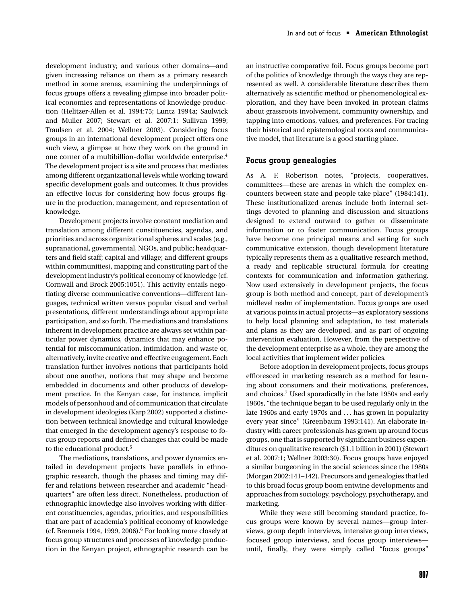development industry; and various other domains—and given increasing reliance on them as a primary research method in some arenas, examining the underpinnings of focus groups offers a revealing glimpse into broader political economies and representations of knowledge production (Helitzer-Allen et al. 1994:75; Luntz 1994a; Saulwick and Muller 2007; Stewart et al. 2007:1; Sullivan 1999; Traulsen et al. 2004; Wellner 2003). Considering focus groups in an international development project offers one such view, a glimpse at how they work on the ground in one corner of a multibillion-dollar worldwide enterprise.<sup>4</sup> The development project is a site and process that mediates among different organizational levels while working toward specific development goals and outcomes. It thus provides an effective locus for considering how focus groups figure in the production, management, and representation of knowledge.

Development projects involve constant mediation and translation among different constituencies, agendas, and priorities and across organizational spheres and scales (e.g., supranational, governmental, NGOs, and public; headquarters and field staff; capital and village; and different groups within communities), mapping and constituting part of the development industry's political economy of knowledge (cf. Cornwall and Brock 2005:1051). This activity entails negotiating diverse communicative conventions—different languages, technical written versus popular visual and verbal presentations, different understandings about appropriate participation, and so forth. The mediations and translations inherent in development practice are always set within particular power dynamics, dynamics that may enhance potential for miscommunication, intimidation, and waste or, alternatively, invite creative and effective engagement. Each translation further involves notions that participants hold about one another, notions that may shape and become embedded in documents and other products of development practice. In the Kenyan case, for instance, implicit models of personhood and of communication that circulate in development ideologies (Karp 2002) supported a distinction between technical knowledge and cultural knowledge that emerged in the development agency's response to focus group reports and defined changes that could be made to the educational product.<sup>5</sup>

The mediations, translations, and power dynamics entailed in development projects have parallels in ethnographic research, though the phases and timing may differ and relations between researcher and academic "headquarters" are often less direct. Nonetheless, production of ethnographic knowledge also involves working with different constituencies, agendas, priorities, and responsibilities that are part of academia's political economy of knowledge (cf. Brenneis 1994, 1999, 2006). $6$  For looking more closely at focus group structures and processes of knowledge production in the Kenyan project, ethnographic research can be an instructive comparative foil. Focus groups become part of the politics of knowledge through the ways they are represented as well. A considerable literature describes them alternatively as scientific method or phenomenological exploration, and they have been invoked in protean claims about grassroots involvement, community ownership, and tapping into emotions, values, and preferences. For tracing their historical and epistemological roots and communicative model, that literature is a good starting place.

## **Focus group genealogies**

As A. F. Robertson notes, "projects, cooperatives, committees—these are arenas in which the complex encounters between state and people take place" (1984:141). These institutionalized arenas include both internal settings devoted to planning and discussion and situations designed to extend outward to gather or disseminate information or to foster communication. Focus groups have become one principal means and setting for such communicative extension, though development literature typically represents them as a qualitative research method, a ready and replicable structural formula for creating contexts for communication and information gathering. Now used extensively in development projects, the focus group is both method and concept, part of development's midlevel realm of implementation. Focus groups are used at various points in actual projects—as exploratory sessions to help local planning and adaptation, to test materials and plans as they are developed, and as part of ongoing intervention evaluation. However, from the perspective of the development enterprise as a whole, they are among the local activities that implement wider policies.

Before adoption in development projects, focus groups effloresced in marketing research as a method for learning about consumers and their motivations, preferences, and choices.7 Used sporadically in the late 1950s and early 1960s, "the technique began to be used regularly only in the late 1960s and early 1970s and ... has grown in popularity every year since" (Greenbaum 1993:141). An elaborate industry with career professionals has grown up around focus groups, one that is supported by significant business expenditures on qualitative research (\$1.1 billion in 2001) (Stewart et al. 2007:1; Wellner 2003:30). Focus groups have enjoyed a similar burgeoning in the social sciences since the 1980s (Morgan 2002:141–142). Precursors and genealogies that led to this broad focus group boom entwine developments and approaches from sociology, psychology, psychotherapy, and marketing.

While they were still becoming standard practice, focus groups were known by several names—group interviews, group depth interviews, intensive group interviews, focused group interviews, and focus group interviews until, finally, they were simply called "focus groups"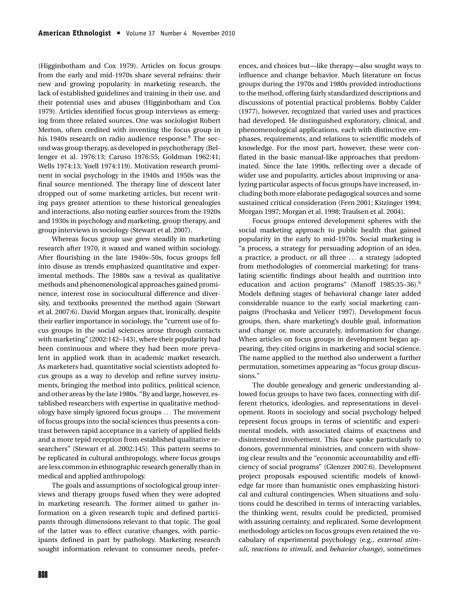(Higginbotham and Cox 1979). Articles on focus groups from the early and mid-1970s share several refrains: their new and growing popularity in marketing research, the lack of established guidelines and training in their use, and their potential uses and abuses (Higginbotham and Cox 1979). Articles identified focus group interviews as emerging from three related sources. One was sociologist Robert Merton, often credited with inventing the focus group in his 1940s research on radio audience response.<sup>8</sup> The second was group therapy, as developed in psychotherapy (Bellenger et al. 1976:13; Caruso 1976:55; Goldman 1962:41; Wells 1974:13; Yoell 1974:119). Motivation research prominent in social psychology in the 1940s and 1950s was the final source mentioned. The therapy line of descent later dropped out of some marketing articles, but recent writing pays greater attention to these historical genealogies and interactions, also noting earlier sources from the 1920s and 1930s in psychology and marketing, group therapy, and group interviews in sociology (Stewart et al. 2007).

Whereas focus group use grew steadily in marketing research after 1970, it waxed and waned within sociology. After flourishing in the late 1940s–50s, focus groups fell into disuse as trends emphasized quantitative and experimental methods. The 1980s saw a revival as qualitative methods and phenomenological approaches gained prominence, interest rose in sociocultural difference and diversity, and textbooks presented the method again (Stewart et al. 2007:6). David Morgan argues that, ironically, despite their earlier importance in sociology, the "current use of focus groups in the social sciences arose through contacts with marketing" (2002:142–143), where their popularity had been continuous and where they had been more prevalent in applied work than in academic market research. As marketers had, quantitative social scientists adopted focus groups as a way to develop and refine survey instruments, bringing the method into politics, political science, and other areas by the late 1980s. "By and large, however, established researchers with expertise in qualitative methodology have simply ignored focus groups ... The movement of focus groups into the social sciences thus presents a contrast between rapid acceptance in a variety of applied fields and a more tepid reception from established qualitative researchers" (Stewart et al. 2002:145). This pattern seems to be replicated in cultural anthropology, where focus groups are less common in ethnographic research generally than in medical and applied anthropology.

The goals and assumptions of sociological group interviews and therapy groups fused when they were adopted in marketing research. The former aimed to gather information on a given research topic and defined participants through dimensions relevant to that topic. The goal of the latter was to effect curative changes, with participants defined in part by pathology. Marketing research sought information relevant to consumer needs, preferences, and choices but—like therapy—also sought ways to influence and change behavior. Much literature on focus groups during the 1970s and 1980s provided introductions to the method, offering fairly standardized descriptions and discussions of potential practical problems. Bobby Calder (1977), however, recognized that varied uses and practices had developed. He distinguished exploratory, clinical, and phenomenological applications, each with distinctive emphases, requirements, and relations to scientific models of knowledge. For the most part, however, these were conflated in the basic manual-like approaches that predominated. Since the late 1990s, reflecting over a decade of wider use and popularity, articles about improving or analyzing particular aspects of focus groups have increased, including both more elaborate pedagogical sources and some sustained critical consideration (Fern 2001; Kitzinger 1994; Morgan 1997; Morgan et al. 1998; Traulsen et al. 2004).

Focus groups entered development spheres with the social marketing approach to public health that gained popularity in the early to mid-1970s. Social marketing is "a process, a strategy for persuading adoption of an idea, a practice, a product, or all three ... a strategy [adopted from methodologies of commercial marketing] for translating scientific findings about health and nutrition into education and action programs" (Manoff 1985:35-36).<sup>9</sup> Models defining stages of behavioral change later added considerable nuance to the early social marketing campaigns (Prochaska and Velicer 1997). Development focus groups, then, share marketing's double goal, information and change or, more accurately, information for change. When articles on focus groups in development began appearing, they cited origins in marketing and social science. The name applied to the method also underwent a further permutation, sometimes appearing as "focus group discussions."

The double genealogy and generic understanding allowed focus groups to have two faces, connecting with different rhetorics, ideologies, and representations in development. Roots in sociology and social psychology helped represent focus groups in terms of scientific and experimental models, with associated claims of exactness and disinterested involvement. This face spoke particularly to donors, governmental ministries, and concern with showing clear results and the "economic accountability and efficiency of social programs" (Glenzer 2007:6). Development project proposals espoused scientific models of knowledge far more than humanistic ones emphasizing historical and cultural contingencies. When situations and solutions could be described in terms of interacting variables, the thinking went, results could be predicted, promised with assuring certainty, and replicated. Some development methodology articles on focus groups even retained the vocabulary of experimental psychology (e.g., *external stimuli, reactions to stimuli,* and *behavior change*), sometimes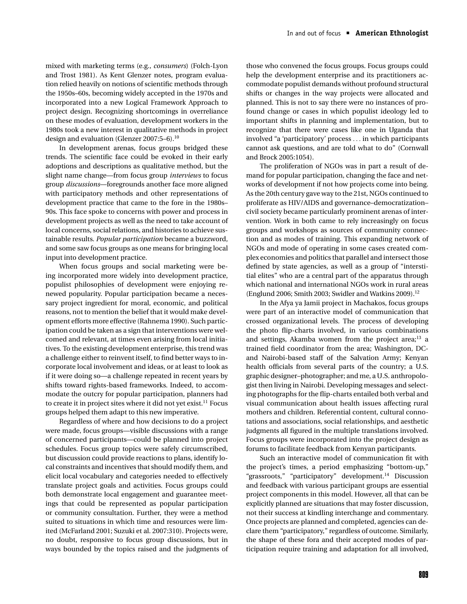mixed with marketing terms (e.g., *consumers*) (Folch-Lyon and Trost 1981). As Kent Glenzer notes, program evaluation relied heavily on notions of scientific methods through the 1950s–60s, becoming widely accepted in the 1970s and incorporated into a new Logical Framework Approach to project design. Recognizing shortcomings in overreliance on these modes of evaluation, development workers in the 1980s took a new interest in qualitative methods in project design and evaluation (Glenzer 2007:5–6).10

In development arenas, focus groups bridged these trends. The scientific face could be evoked in their early adoptions and descriptions as qualitative method, but the slight name change—from focus group *interviews* to focus group *discussions*—foregrounds another face more aligned with participatory methods and other representations of development practice that came to the fore in the 1980s– 90s. This face spoke to concerns with power and process in development projects as well as the need to take account of local concerns, social relations, and histories to achieve sustainable results. *Popular participation* became a buzzword, and some saw focus groups as one means for bringing local input into development practice.

When focus groups and social marketing were being incorporated more widely into development practice, populist philosophies of development were enjoying renewed popularity. Popular participation became a necessary project ingredient for moral, economic, and political reasons, not to mention the belief that it would make development efforts more effective (Rahnema 1990). Such participation could be taken as a sign that interventions were welcomed and relevant, at times even arising from local initiatives. To the existing development enterprise, this trend was a challenge either to reinvent itself, to find better ways to incorporate local involvement and ideas, or at least to look as if it were doing so—a challenge repeated in recent years by shifts toward rights-based frameworks. Indeed, to accommodate the outcry for popular participation, planners had to create it in project sites where it did not yet exist.<sup>11</sup> Focus groups helped them adapt to this new imperative.

Regardless of where and how decisions to do a project were made, focus groups—visible discussions with a range of concerned participants—could be planned into project schedules. Focus group topics were safely circumscribed, but discussion could provide reactions to plans, identify local constraints and incentives that should modify them, and elicit local vocabulary and categories needed to effectively translate project goals and activities. Focus groups could both demonstrate local engagement and guarantee meetings that could be represented as popular participation or community consultation. Further, they were a method suited to situations in which time and resources were limited (McFarland 2001; Suzuki et al. 2007:310). Projects were, no doubt, responsive to focus group discussions, but in ways bounded by the topics raised and the judgments of those who convened the focus groups. Focus groups could help the development enterprise and its practitioners accommodate populist demands without profound structural shifts or changes in the way projects were allocated and planned. This is not to say there were no instances of profound change or cases in which populist ideology led to important shifts in planning and implementation, but to recognize that there were cases like one in Uganda that involved "a 'participatory' process ... in which participants cannot ask questions, and are told what to do" (Cornwall and Brock 2005:1054).

The proliferation of NGOs was in part a result of demand for popular participation, changing the face and networks of development if not how projects come into being. As the 20th century gave way to the 21st, NGOs continued to proliferate as HIV/AIDS and governance–democratization– civil society became particularly prominent arenas of intervention. Work in both came to rely increasingly on focus groups and workshops as sources of community connection and as modes of training. This expanding network of NGOs and mode of operating in some cases created complex economies and politics that parallel and intersect those defined by state agencies, as well as a group of "interstitial elites" who are a central part of the apparatus through which national and international NGOs work in rural areas (Englund 2006; Smith 2003; Swidler and Watkins 2009).<sup>12</sup>

In the Afya ya Jamii project in Machakos, focus groups were part of an interactive model of communication that crossed organizational levels. The process of developing the photo flip-charts involved, in various combinations and settings, Akamba women from the project area; $^{13}$  a trained field coordinator from the area; Washington, DCand Nairobi-based staff of the Salvation Army; Kenyan health officials from several parts of the country; a U.S. graphic designer–photographer; and me, a U.S. anthropologist then living in Nairobi. Developing messages and selecting photographs for the flip-charts entailed both verbal and visual communication about health issues affecting rural mothers and children. Referential content, cultural connotations and associations, social relationships, and aesthetic judgments all figured in the multiple translations involved. Focus groups were incorporated into the project design as forums to facilitate feedback from Kenyan participants.

Such an interactive model of communication fit with the project's times, a period emphasizing "bottom-up," "grassroots," "participatory" development.<sup>14</sup> Discussion and feedback with various participant groups are essential project components in this model. However, all that can be explicitly planned are situations that may foster discussion, not their success at kindling interchange and commentary. Once projects are planned and completed, agencies can declare them "participatory," regardless of outcome. Similarly, the shape of these fora and their accepted modes of participation require training and adaptation for all involved,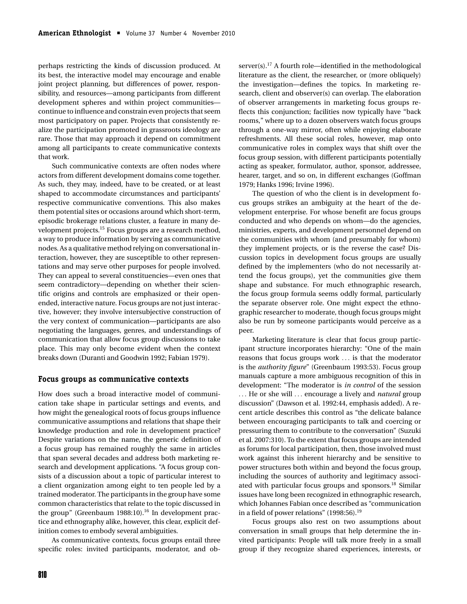perhaps restricting the kinds of discussion produced. At its best, the interactive model may encourage and enable joint project planning, but differences of power, responsibility, and resources—among participants from different development spheres and within project communities continue to influence and constrain even projects that seem most participatory on paper. Projects that consistently realize the participation promoted in grassroots ideology are rare. Those that may approach it depend on commitment among all participants to create communicative contexts that work.

Such communicative contexts are often nodes where actors from different development domains come together. As such, they may, indeed, have to be created, or at least shaped to accommodate circumstances and participants' respective communicative conventions. This also makes them potential sites or occasions around which short-term, episodic brokerage relations cluster, a feature in many development projects.<sup>15</sup> Focus groups are a research method, a way to produce information by serving as communicative nodes. As a qualitative method relying on conversational interaction, however, they are susceptible to other representations and may serve other purposes for people involved. They can appeal to several constituencies—even ones that seem contradictory—depending on whether their scientific origins and controls are emphasized or their openended, interactive nature. Focus groups are not just interactive, however; they involve intersubjective construction of the very context of communication—participants are also negotiating the languages, genres, and understandings of communication that allow focus group discussions to take place. This may only become evident when the context breaks down (Duranti and Goodwin 1992; Fabian 1979).

## **Focus groups as communicative contexts**

How does such a broad interactive model of communication take shape in particular settings and events, and how might the genealogical roots of focus groups influence communicative assumptions and relations that shape their knowledge production and role in development practice? Despite variations on the name, the generic definition of a focus group has remained roughly the same in articles that span several decades and address both marketing research and development applications. "A focus group consists of a discussion about a topic of particular interest to a client organization among eight to ten people led by a trained moderator. The participants in the group have some common characteristics that relate to the topic discussed in the group" (Greenbaum 1988:10).<sup>16</sup> In development practice and ethnography alike, however, this clear, explicit definition comes to embody several ambiguities.

As communicative contexts, focus groups entail three specific roles: invited participants, moderator, and observer(s).<sup>17</sup> A fourth role—identified in the methodological literature as the client, the researcher, or (more obliquely) the investigation—defines the topics. In marketing research, client and observer(s) can overlap. The elaboration of observer arrangements in marketing focus groups reflects this conjunction; facilities now typically have "back rooms," where up to a dozen observers watch focus groups through a one-way mirror, often while enjoying elaborate refreshments. All these social roles, however, map onto communicative roles in complex ways that shift over the focus group session, with different participants potentially acting as speaker, formulator, author, sponsor, addressee, hearer, target, and so on, in different exchanges (Goffman 1979; Hanks 1996; Irvine 1996).

The question of who the client is in development focus groups strikes an ambiguity at the heart of the development enterprise. For whose benefit are focus groups conducted and who depends on whom—do the agencies, ministries, experts, and development personnel depend on the communities with whom (and presumably for whom) they implement projects, or is the reverse the case? Discussion topics in development focus groups are usually defined by the implementers (who do not necessarily attend the focus groups), yet the communities give them shape and substance. For much ethnographic research, the focus group formula seems oddly formal, particularly the separate observer role. One might expect the ethnographic researcher to moderate, though focus groups might also be run by someone participants would perceive as a peer.

Marketing literature is clear that focus group participant structure incorporates hierarchy: "One of the main reasons that focus groups work ... is that the moderator is the *authority figure*" (Greenbaum 1993:53). Focus group manuals capture a more ambiguous recognition of this in development: "The moderator is *in control* of the session ... He or she will ... encourage a lively and *natural* group discussion" (Dawson et al. 1992:44, emphasis added). A recent article describes this control as "the delicate balance between encouraging participants to talk and coercing or pressuring them to contribute to the conversation" (Suzuki et al. 2007:310). To the extent that focus groups are intended as forums for local participation, then, those involved must work against this inherent hierarchy and be sensitive to power structures both within and beyond the focus group, including the sources of authority and legitimacy associated with particular focus groups and sponsors.<sup>18</sup> Similar issues have long been recognized in ethnographic research, which Johannes Fabian once described as "communication in a field of power relations" (1998:56).<sup>19</sup>

Focus groups also rest on two assumptions about conversation in small groups that help determine the invited participants: People will talk more freely in a small group if they recognize shared experiences, interests, or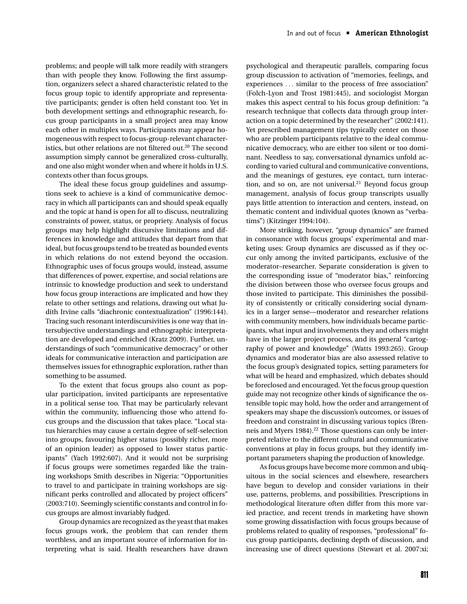problems; and people will talk more readily with strangers than with people they know. Following the first assumption, organizers select a shared characteristic related to the focus group topic to identify appropriate and representative participants; gender is often held constant too. Yet in both development settings and ethnographic research, focus group participants in a small project area may know each other in multiplex ways. Participants may appear homogeneous with respect to focus-group-relevant characteristics, but other relations are not filtered out.<sup>20</sup> The second assumption simply cannot be generalized cross-culturally, and one also might wonder when and where it holds in U.S. contexts other than focus groups.

The ideal these focus group guidelines and assumptions seek to achieve is a kind of communicative democracy in which all participants can and should speak equally and the topic at hand is open for all to discuss, neutralizing constraints of power, status, or propriety. Analysis of focus groups may help highlight discursive limitations and differences in knowledge and attitudes that depart from that ideal, but focus groups tend to be treated as bounded events in which relations do not extend beyond the occasion. Ethnographic uses of focus groups would, instead, assume that differences of power, expertise, and social relations are intrinsic to knowledge production and seek to understand how focus group interactions are implicated and how they relate to other settings and relations, drawing out what Judith Irvine calls "diachronic contextualization" (1996:144). Tracing such resonant interdiscursivities is one way that intersubjective understandings and ethnographic interpretation are developed and enriched (Kratz 2009). Further, understandings of such "communicative democracy" or other ideals for communicative interaction and participation are themselves issues for ethnographic exploration, rather than something to be assumed.

To the extent that focus groups also count as popular participation, invited participants are representative in a political sense too. That may be particularly relevant within the community, influencing those who attend focus groups and the discussion that takes place. "Local status hierarchies may cause a certain degree of self-selection into groups, favouring higher status (possibly richer, more of an opinion leader) as opposed to lower status participants" (Yach 1992:607). And it would not be surprising if focus groups were sometimes regarded like the training workshops Smith describes in Nigeria: "Opportunities to travel to and participate in training workshops are significant perks controlled and allocated by project officers" (2003:710). Seemingly scientific constants and control in focus groups are almost invariably fudged.

Group dynamics are recognized as the yeast that makes focus groups work, the problem that can render them worthless, and an important source of information for interpreting what is said. Health researchers have drawn psychological and therapeutic parallels, comparing focus group discussion to activation of "memories, feelings, and experiences ... similar to the process of free association" (Folch-Lyon and Trost 1981:445), and sociologist Morgan makes this aspect central to his focus group definition: "a research technique that collects data through group interaction on a topic determined by the researcher" (2002:141). Yet prescribed management tips typically center on those who are problem participants relative to the ideal communicative democracy, who are either too silent or too dominant. Needless to say, conversational dynamics unfold according to varied cultural and communicative conventions, and the meanings of gestures, eye contact, turn interaction, and so on, are not universal. $21$  Beyond focus group management, analysis of focus group transcripts usually pays little attention to interaction and centers, instead, on thematic content and individual quotes (known as "verbatims") (Kitzinger 1994:104).

More striking, however, "group dynamics" are framed in consonance with focus groups' experimental and marketing uses: Group dynamics are discussed as if they occur only among the invited participants, exclusive of the moderator–researcher. Separate consideration is given to the corresponding issue of "moderator bias," reinforcing the division between those who oversee focus groups and those invited to participate. This diminishes the possibility of consistently or critically considering social dynamics in a larger sense—moderator and researcher relations with community members, how individuals became participants, what input and involvements they and others might have in the larger project process, and its general "cartography of power and knowledge" (Watts 1993:265). Group dynamics and moderator bias are also assessed relative to the focus group's designated topics, setting parameters for what will be heard and emphasized, which debates should be foreclosed and encouraged. Yet the focus group question guide may not recognize other kinds of significance the ostensible topic may hold, how the order and arrangement of speakers may shape the discussion's outcomes, or issues of freedom and constraint in discussing various topics (Brenneis and Myers 1984).<sup>22</sup> Those questions can only be interpreted relative to the different cultural and communicative conventions at play in focus groups, but they identify important parameters shaping the production of knowledge.

As focus groups have become more common and ubiquitous in the social sciences and elsewhere, researchers have begun to develop and consider variations in their use, patterns, problems, and possibilities. Prescriptions in methodological literature often differ from this more varied practice, and recent trends in marketing have shown some growing dissatisfaction with focus groups because of problems related to quality of responses, "professional" focus group participants, declining depth of discussion, and increasing use of direct questions (Stewart et al. 2007:xi;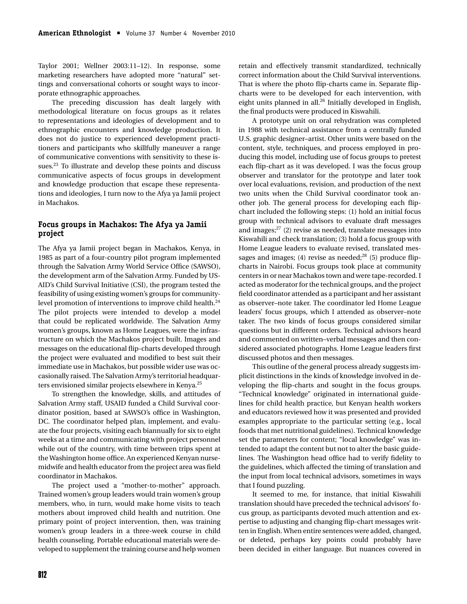Taylor 2001; Wellner 2003:11–12). In response, some marketing researchers have adopted more "natural" settings and conversational cohorts or sought ways to incorporate ethnographic approaches.

The preceding discussion has dealt largely with methodological literature on focus groups as it relates to representations and ideologies of development and to ethnographic encounters and knowledge production. It does not do justice to experienced development practitioners and participants who skillfully maneuver a range of communicative conventions with sensitivity to these issues.<sup>23</sup> To illustrate and develop these points and discuss communicative aspects of focus groups in development and knowledge production that escape these representations and ideologies, I turn now to the Afya ya Jamii project in Machakos.

# **Focus groups in Machakos: The Afya ya Jamii project**

The Afya ya Jamii project began in Machakos, Kenya, in 1985 as part of a four-country pilot program implemented through the Salvation Army World Service Office (SAWSO), the development arm of the Salvation Army. Funded by US-AID's Child Survival Initiative (CSI), the program tested the feasibility of using existing women's groups for communitylevel promotion of interventions to improve child health.<sup>24</sup> The pilot projects were intended to develop a model that could be replicated worldwide. The Salvation Army women's groups, known as Home Leagues, were the infrastructure on which the Machakos project built. Images and messages on the educational flip-charts developed through the project were evaluated and modified to best suit their immediate use in Machakos, but possible wider use was occasionally raised. The Salvation Army's territorial headquarters envisioned similar projects elsewhere in Kenya.<sup>25</sup>

To strengthen the knowledge, skills, and attitudes of Salvation Army staff, USAID funded a Child Survival coordinator position, based at SAWSO's office in Washington, DC. The coordinator helped plan, implement, and evaluate the four projects, visiting each biannually for six to eight weeks at a time and communicating with project personnel while out of the country, with time between trips spent at the Washington home office. An experienced Kenyan nursemidwife and health educator from the project area was field coordinator in Machakos.

The project used a "mother-to-mother" approach. Trained women's group leaders would train women's group members, who, in turn, would make home visits to teach mothers about improved child health and nutrition. One primary point of project intervention, then, was training women's group leaders in a three-week course in child health counseling. Portable educational materials were developed to supplement the training course and help women retain and effectively transmit standardized, technically correct information about the Child Survival interventions. That is where the photo flip-charts came in. Separate flipcharts were to be developed for each intervention, with eight units planned in all.<sup>26</sup> Initially developed in English, the final products were produced in Kiswahili.

A prototype unit on oral rehydration was completed in 1988 with technical assistance from a centrally funded U.S. graphic designer–artist. Other units were based on the content, style, techniques, and process employed in producing this model, including use of focus groups to pretest each flip-chart as it was developed. I was the focus group observer and translator for the prototype and later took over local evaluations, revision, and production of the next two units when the Child Survival coordinator took another job. The general process for developing each flipchart included the following steps: (1) hold an initial focus group with technical advisors to evaluate draft messages and images; $27$  (2) revise as needed, translate messages into Kiswahili and check translation; (3) hold a focus group with Home League leaders to evaluate revised, translated messages and images; (4) revise as needed; $^{28}$  (5) produce flipcharts in Nairobi. Focus groups took place at community centers in or near Machakos town and were tape-recorded. I acted as moderator for the technical groups, and the project field coordinator attended as a participant and her assistant as observer–note taker. The coordinator led Home League leaders' focus groups, which I attended as observer–note taker. The two kinds of focus groups considered similar questions but in different orders. Technical advisors heard and commented on written–verbal messages and then considered associated photographs. Home League leaders first discussed photos and then messages.

This outline of the general process already suggests implicit distinctions in the kinds of knowledge involved in developing the flip-charts and sought in the focus groups. "Technical knowledge" originated in international guidelines for child health practice, but Kenyan health workers and educators reviewed how it was presented and provided examples appropriate to the particular setting (e.g., local foods that met nutritional guidelines). Technical knowledge set the parameters for content; "local knowledge" was intended to adapt the content but not to alter the basic guidelines. The Washington head office had to verify fidelity to the guidelines, which affected the timing of translation and the input from local technical advisors, sometimes in ways that I found puzzling.

It seemed to me, for instance, that initial Kiswahili translation should have preceded the technical advisors' focus group, as participants devoted much attention and expertise to adjusting and changing flip-chart messages written in English. When entire sentences were added, changed, or deleted, perhaps key points could probably have been decided in either language. But nuances covered in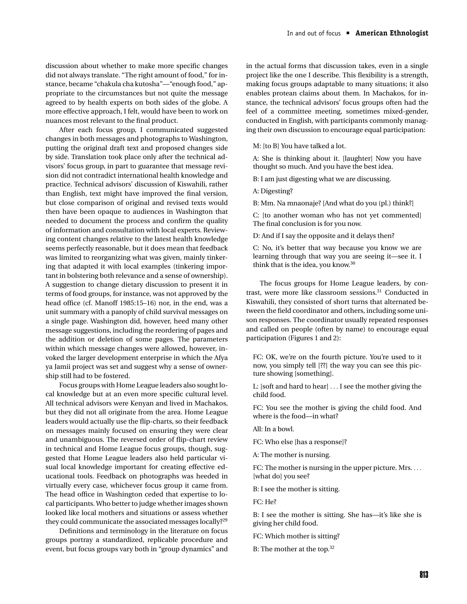discussion about whether to make more specific changes did not always translate. "The right amount of food," for instance, became "chakula cha kutosha"—"enough food," appropriate to the circumstances but not quite the message agreed to by health experts on both sides of the globe. A more effective approach, I felt, would have been to work on nuances most relevant to the final product.

After each focus group, I communicated suggested changes in both messages and photographs to Washington, putting the original draft text and proposed changes side by side. Translation took place only after the technical advisors' focus group, in part to guarantee that message revision did not contradict international health knowledge and practice. Technical advisors' discussion of Kiswahili, rather than English, text might have improved the final version, but close comparison of original and revised texts would then have been opaque to audiences in Washington that needed to document the process and confirm the quality of information and consultation with local experts. Reviewing content changes relative to the latest health knowledge seems perfectly reasonable, but it does mean that feedback was limited to reorganizing what was given, mainly tinkering that adapted it with local examples (tinkering important in bolstering both relevance and a sense of ownership). A suggestion to change dietary discussion to present it in terms of food groups, for instance, was not approved by the head office (cf. Manoff 1985:15–16) nor, in the end, was a unit summary with a panoply of child survival messages on a single page. Washington did, however, heed many other message suggestions, including the reordering of pages and the addition or deletion of some pages. The parameters within which message changes were allowed, however, invoked the larger development enterprise in which the Afya ya Jamii project was set and suggest why a sense of ownership still had to be fostered.

Focus groups with Home League leaders also sought local knowledge but at an even more specific cultural level. All technical advisors were Kenyan and lived in Machakos, but they did not all originate from the area. Home League leaders would actually use the flip-charts, so their feedback on messages mainly focused on ensuring they were clear and unambiguous. The reversed order of flip-chart review in technical and Home League focus groups, though, suggested that Home League leaders also held particular visual local knowledge important for creating effective educational tools. Feedback on photographs was heeded in virtually every case, whichever focus group it came from. The head office in Washington ceded that expertise to local participants. Who better to judge whether images shown looked like local mothers and situations or assess whether they could communicate the associated messages locally?<sup>29</sup>

Definitions and terminology in the literature on focus groups portray a standardized, replicable procedure and event, but focus groups vary both in "group dynamics" and in the actual forms that discussion takes, even in a single project like the one I describe. This flexibility is a strength, making focus groups adaptable to many situations; it also enables protean claims about them. In Machakos, for instance, the technical advisors' focus groups often had the feel of a committee meeting, sometimes mixed-gender, conducted in English, with participants commonly managing their own discussion to encourage equal participation:

M: [to B] You have talked a lot.

A: She is thinking about it. [laughter] Now you have thought so much. And you have the best idea.

B: I am just digesting what we are discussing.

A: Digesting?

B: Mm. Na mnaonaje? [And what do you (pl.) think?]

C: [to another woman who has not yet commented] The final conclusion is for you now.

D: And if I say the opposite and it delays then?

C: No, it's better that way because you know we are learning through that way you are seeing it—see it. I think that is the idea, you know.30

The focus groups for Home League leaders, by contrast, were more like classroom sessions.<sup>31</sup> Conducted in Kiswahili, they consisted of short turns that alternated between the field coordinator and others, including some unison responses. The coordinator usually repeated responses and called on people (often by name) to encourage equal participation (Figures 1 and 2):

FC: OK, we're on the fourth picture. You're used to it now, you simply tell [??] the way you can see this picture showing [something].

L: [soft and hard to hear] ... I see the mother giving the child food.

FC: You see the mother is giving the child food. And where is the food—in what?

All: In a bowl.

FC: Who else [has a response]?

A: The mother is nursing.

FC: The mother is nursing in the upper picture. Mrs. ... [what do] you see?

B: I see the mother is sitting.

FC: He?

B: I see the mother is sitting. She has—it's like she is giving her child food.

FC: Which mother is sitting?

B: The mother at the top.<sup>32</sup>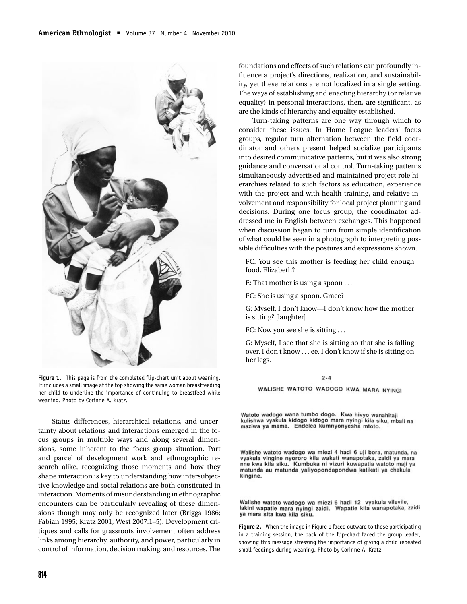

Figure 1. This page is from the completed flip-chart unit about weaning. It includes a small image at the top showing the same woman breastfeeding her child to underline the importance of continuing to breastfeed while weaning. Photo by Corinne A. Kratz.

Status differences, hierarchical relations, and uncertainty about relations and interactions emerged in the focus groups in multiple ways and along several dimensions, some inherent to the focus group situation. Part and parcel of development work and ethnographic research alike, recognizing those moments and how they shape interaction is key to understanding how intersubjective knowledge and social relations are both constituted in interaction. Moments of misunderstanding in ethnographic encounters can be particularly revealing of these dimensions though may only be recognized later (Briggs 1986; Fabian 1995; Kratz 2001; West 2007:1–5). Development critiques and calls for grassroots involvement often address links among hierarchy, authority, and power, particularly in control of information, decision making, and resources. The

foundations and effects of such relations can profoundly influence a project's directions, realization, and sustainability, yet these relations are not localized in a single setting. The ways of establishing and enacting hierarchy (or relative equality) in personal interactions, then, are significant, as are the kinds of hierarchy and equality established.

Turn-taking patterns are one way through which to consider these issues. In Home League leaders' focus groups, regular turn alternation between the field coordinator and others present helped socialize participants into desired communicative patterns, but it was also strong guidance and conversational control. Turn-taking patterns simultaneously advertised and maintained project role hierarchies related to such factors as education, experience with the project and with health training, and relative involvement and responsibility for local project planning and decisions. During one focus group, the coordinator addressed me in English between exchanges. This happened when discussion began to turn from simple identification of what could be seen in a photograph to interpreting possible difficulties with the postures and expressions shown.

FC: You see this mother is feeding her child enough food. Elizabeth?

E: That mother is using a spoon ...

FC: She is using a spoon. Grace?

G: Myself, I don't know—I don't know how the mother is sitting? [laughter]

FC: Now you see she is sitting ...

G: Myself, I see that she is sitting so that she is falling over. I don't know ... ee. I don't know if she is sitting on her legs.

#### $2 - 4$

WALISHE WATOTO WADOGO KWA MARA NYINGI

Watoto wadogo wana tumbo dogo. Kwa hivyo wanahitaji kulishwa vyakula kidogo kidogo mara nyingi kila siku, mbali na maziwa ya mama. Endelea kumnyonyesha mtoto.

Walishe watoto wadogo wa miezi 4 hadi 6 uji bora, matunda, na vyakula vingine nyororo kila wakati wanapotaka, zaidi ya mara nne kwa kila siku. Kumbuka ni vizuri kuwapatia watoto maji ya matunda au matunda yaliyopondapondwa katikati ya chakula kingine.

Walishe watoto wadogo wa miezi 6 hadi 12 vyakula vilevile, lakini wapatie mara nyingi zaidi. Wapatie kila wanapotaka, zaidi ya mara sita kwa kila siku.

**Figure 2.** When the image in Figure 1 faced outward to those participating in a training session, the back of the flip-chart faced the group leader, showing this message stressing the importance of giving a child repeated small feedings during weaning. Photo by Corinne A. Kratz.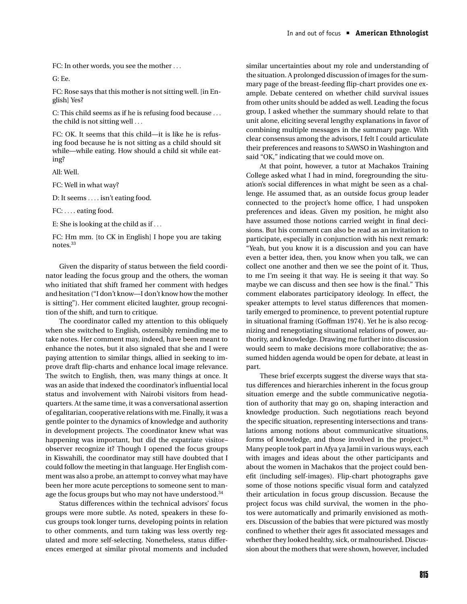FC: In other words, you see the mother ...

G: Ee.

FC: Rose says that this mother is not sitting well. [in English] Yes?

C: This child seems as if he is refusing food because ... the child is not sitting well ...

FC: OK. It seems that this child—it is like he is refusing food because he is not sitting as a child should sit while—while eating. How should a child sit while eating?

All: Well.

FC: Well in what way?

D: It seems ... . isn't eating food.

FC: ... . eating food.

E: She is looking at the child as if ...

FC: Hm mm. [to CK in English] I hope you are taking notes.<sup>33</sup>

Given the disparity of status between the field coordinator leading the focus group and the others, the woman who initiated that shift framed her comment with hedges and hesitation ("I don't know—I don't know how the mother is sitting"). Her comment elicited laughter, group recognition of the shift, and turn to critique.

The coordinator called my attention to this obliquely when she switched to English, ostensibly reminding me to take notes. Her comment may, indeed, have been meant to enhance the notes, but it also signaled that she and I were paying attention to similar things, allied in seeking to improve draft flip-charts and enhance local image relevance. The switch to English, then, was many things at once. It was an aside that indexed the coordinator's influential local status and involvement with Nairobi visitors from headquarters. At the same time, it was a conversational assertion of egalitarian, cooperative relations with me. Finally, it was a gentle pointer to the dynamics of knowledge and authority in development projects. The coordinator knew what was happening was important, but did the expatriate visitor– observer recognize it? Though I opened the focus groups in Kiswahili, the coordinator may still have doubted that I could follow the meeting in that language. Her English comment was also a probe, an attempt to convey what may have been her more acute perceptions to someone sent to manage the focus groups but who may not have understood.<sup>34</sup>

Status differences within the technical advisors' focus groups were more subtle. As noted, speakers in these focus groups took longer turns, developing points in relation to other comments, and turn taking was less overtly regulated and more self-selecting. Nonetheless, status differences emerged at similar pivotal moments and included

similar uncertainties about my role and understanding of the situation. A prolonged discussion of images for the summary page of the breast-feeding flip-chart provides one example. Debate centered on whether child survival issues from other units should be added as well. Leading the focus group, I asked whether the summary should relate to that unit alone, eliciting several lengthy explanations in favor of combining multiple messages in the summary page. With clear consensus among the advisors, I felt I could articulate their preferences and reasons to SAWSO in Washington and said "OK," indicating that we could move on.

At that point, however, a tutor at Machakos Training College asked what I had in mind, foregrounding the situation's social differences in what might be seen as a challenge. He assumed that, as an outside focus group leader connected to the project's home office, I had unspoken preferences and ideas. Given my position, he might also have assumed those notions carried weight in final decisions. But his comment can also be read as an invitation to participate, especially in conjunction with his next remark: "Yeah, but you know it is a discussion and you can have even a better idea, then, you know when you talk, we can collect one another and then we see the point of it. Thus, to me I'm seeing it that way. He is seeing it that way. So maybe we can discuss and then see how is the final." This comment elaborates participatory ideology. In effect, the speaker attempts to level status differences that momentarily emerged to prominence, to prevent potential rupture in situational framing (Goffman 1974). Yet he is also recognizing and renegotiating situational relations of power, authority, and knowledge. Drawing me further into discussion would seem to make decisions more collaborative; the assumed hidden agenda would be open for debate, at least in part.

These brief excerpts suggest the diverse ways that status differences and hierarchies inherent in the focus group situation emerge and the subtle communicative negotiation of authority that may go on, shaping interaction and knowledge production. Such negotiations reach beyond the specific situation, representing intersections and translations among notions about communicative situations, forms of knowledge, and those involved in the project.<sup>35</sup> Many people took part in Afya ya Jamii in various ways, each with images and ideas about the other participants and about the women in Machakos that the project could benefit (including self-images). Flip-chart photographs gave some of those notions specific visual form and catalyzed their articulation in focus group discussion. Because the project focus was child survival, the women in the photos were automatically and primarily envisioned as mothers. Discussion of the babies that were pictured was mostly confined to whether their ages fit associated messages and whether they looked healthy, sick, or malnourished. Discussion about the mothers that were shown, however, included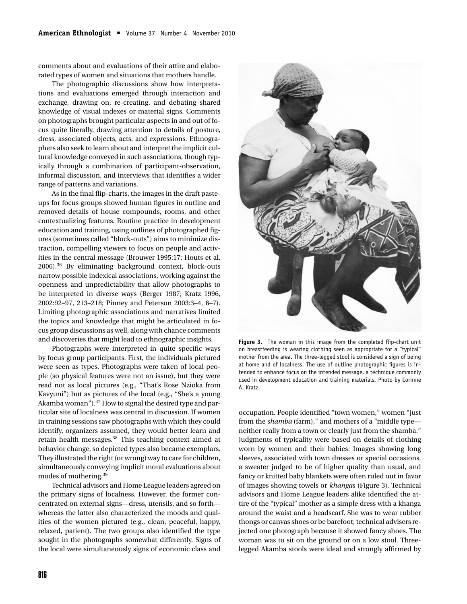comments about and evaluations of their attire and elaborated types of women and situations that mothers handle.

The photographic discussions show how interpretations and evaluations emerged through interaction and exchange, drawing on, re-creating, and debating shared knowledge of visual indexes or material signs. Comments on photographs brought particular aspects in and out of focus quite literally, drawing attention to details of posture, dress, associated objects, acts, and expressions. Ethnographers also seek to learn about and interpret the implicit cultural knowledge conveyed in such associations, though typically through a combination of participant-observation, informal discussion, and interviews that identifies a wider range of patterns and variations.

As in the final flip-charts, the images in the draft pasteups for focus groups showed human figures in outline and removed details of house compounds, rooms, and other contextualizing features. Routine practice in development education and training, using outlines of photographed figures (sometimes called "block-outs") aims to minimize distraction, compelling viewers to focus on people and activities in the central message (Brouwer 1995:17; Houts et al. 2006).36 By eliminating background context, block-outs narrow possible indexical associations, working against the openness and unpredictability that allow photographs to be interpreted in diverse ways (Berger 1987; Kratz 1996, 2002:92–97, 213–218; Pinney and Peterson 2003:3–4, 6–7). Limiting photographic associations and narratives limited the topics and knowledge that might be articulated in focus group discussions as well, along with chance comments and discoveries that might lead to ethnographic insights.

Photographs were interpreted in quite specific ways by focus group participants. First, the individuals pictured were seen as types. Photographs were taken of local people (so physical features were not an issue), but they were read not as local pictures (e.g., "That's Rose Nzioka from Kavyuni") but as pictures of the local (e.g., "She's a young Akamba woman").<sup>37</sup> How to signal the desired type and particular site of localness was central in discussion. If women in training sessions saw photographs with which they could identify, organizers assumed, they would better learn and retain health messages.<sup>38</sup> This teaching context aimed at behavior change, so depicted types also became exemplars. They illustrated the right (or wrong) way to care for children, simultaneously conveying implicit moral evaluations about modes of mothering.<sup>39</sup>

Technical advisors and Home League leaders agreed on the primary signs of localness. However, the former concentrated on external signs—dress, utensils, and so forth whereas the latter also characterized the moods and qualities of the women pictured (e.g., clean, peaceful, happy, relaxed, patient). The two groups also identified the type sought in the photographs somewhat differently. Signs of the local were simultaneously signs of economic class and



**Figure 3.** The woman in this image from the completed flip-chart unit on breastfeeding is wearing clothing seen as appropriate for a "typical" mother from the area. The three-legged stool is considered a sign of being at home and of localness. The use of outline photographic figures is intended to enhance focus on the intended message, a technique commonly used in development education and training materials. Photo by Corinne A. Kratz.

occupation. People identified "town women," women "just from the *shamba* (farm)," and mothers of a "middle typeneither really from a town or clearly just from the shamba." Judgments of typicality were based on details of clothing worn by women and their babies: Images showing long sleeves, associated with town dresses or special occasions, a sweater judged to be of higher quality than usual, and fancy or knitted baby blankets were often ruled out in favor of images showing towels or *khanga*s (Figure 3). Technical advisors and Home League leaders alike identified the attire of the "typical" mother as a simple dress with a khanga around the waist and a headscarf. She was to wear rubber thongs or canvas shoes or be barefoot; technical advisers rejected one photograph because it showed fancy shoes. The woman was to sit on the ground or on a low stool. Threelegged Akamba stools were ideal and strongly affirmed by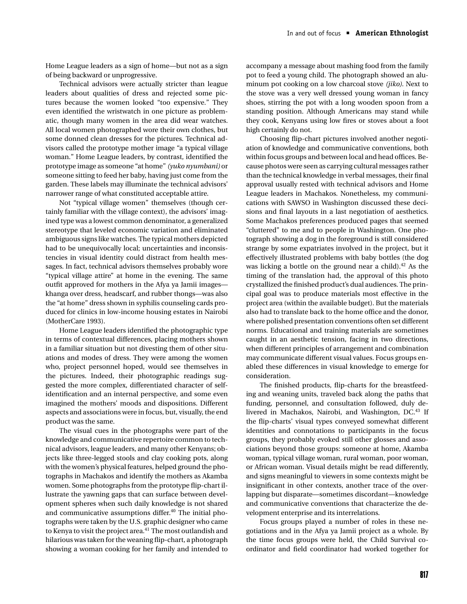Home League leaders as a sign of home—but not as a sign of being backward or unprogressive.

Technical advisors were actually stricter than league leaders about qualities of dress and rejected some pictures because the women looked "too expensive." They even identified the wristwatch in one picture as problematic, though many women in the area did wear watches. All local women photographed wore their own clothes, but some donned clean dresses for the pictures. Technical advisors called the prototype mother image "a typical village woman." Home League leaders, by contrast, identified the prototype image as someone "at home" *(yuko nyumbani)* or someone sitting to feed her baby, having just come from the garden. These labels may illuminate the technical advisors' narrower range of what constituted acceptable attire.

Not "typical village women" themselves (though certainly familiar with the village context), the advisors' imagined type was a lowest common denominator, a generalized stereotype that leveled economic variation and eliminated ambiguous signs like watches. The typical mothers depicted had to be unequivocally local; uncertainties and inconsistencies in visual identity could distract from health messages. In fact, technical advisors themselves probably wore "typical village attire" at home in the evening. The same outfit approved for mothers in the Afya ya Jamii images khanga over dress, headscarf, and rubber thongs—was also the "at home" dress shown in syphilis counseling cards produced for clinics in low-income housing estates in Nairobi (MotherCare 1993).

Home League leaders identified the photographic type in terms of contextual differences, placing mothers shown in a familiar situation but not divesting them of other situations and modes of dress. They were among the women who, project personnel hoped, would see themselves in the pictures. Indeed, their photographic readings suggested the more complex, differentiated character of selfidentification and an internal perspective, and some even imagined the mothers' moods and dispositions. Different aspects and associations were in focus, but, visually, the end product was the same.

The visual cues in the photographs were part of the knowledge and communicative repertoire common to technical advisors, league leaders, and many other Kenyans; objects like three-legged stools and clay cooking pots, along with the women's physical features, helped ground the photographs in Machakos and identify the mothers as Akamba women. Some photographs from the prototype flip-chart illustrate the yawning gaps that can surface between development spheres when such daily knowledge is not shared and communicative assumptions differ.<sup>40</sup> The initial photographs were taken by the U.S. graphic designer who came to Kenya to visit the project area.<sup>41</sup> The most outlandish and hilarious was taken for the weaning flip-chart, a photograph showing a woman cooking for her family and intended to

accompany a message about mashing food from the family pot to feed a young child. The photograph showed an aluminum pot cooking on a low charcoal stove *(jiko)*. Next to the stove was a very well dressed young woman in fancy shoes, stirring the pot with a long wooden spoon from a standing position. Although Americans may stand while they cook, Kenyans using low fires or stoves about a foot high certainly do not.

Choosing flip-chart pictures involved another negotiation of knowledge and communicative conventions, both within focus groups and between local and head offices. Because photos were seen as carrying cultural messages rather than the technical knowledge in verbal messages, their final approval usually rested with technical advisors and Home League leaders in Machakos. Nonetheless, my communications with SAWSO in Washington discussed these decisions and final layouts in a last negotiation of aesthetics. Some Machakos preferences produced pages that seemed "cluttered" to me and to people in Washington. One photograph showing a dog in the foreground is still considered strange by some expatriates involved in the project, but it effectively illustrated problems with baby bottles (the dog was licking a bottle on the ground near a child). $42$  As the timing of the translation had, the approval of this photo crystallized the finished product's dual audiences. The principal goal was to produce materials most effective in the project area (within the available budget). But the materials also had to translate back to the home office and the donor, where polished presentation conventions often set different norms. Educational and training materials are sometimes caught in an aesthetic tension, facing in two directions, when different principles of arrangement and combination may communicate different visual values. Focus groups enabled these differences in visual knowledge to emerge for consideration.

The finished products, flip-charts for the breastfeeding and weaning units, traveled back along the paths that funding, personnel, and consultation followed, duly delivered in Machakos, Nairobi, and Washington, DC.43 If the flip-charts' visual types conveyed somewhat different identities and connotations to participants in the focus groups, they probably evoked still other glosses and associations beyond those groups: someone at home, Akamba woman, typical village woman, rural woman, poor woman, or African woman. Visual details might be read differently, and signs meaningful to viewers in some contexts might be insignificant in other contexts, another trace of the overlapping but disparate—sometimes discordant—knowledge and communicative conventions that characterize the development enterprise and its interrelations.

Focus groups played a number of roles in these negotiations and in the Afya ya Jamii project as a whole. By the time focus groups were held, the Child Survival coordinator and field coordinator had worked together for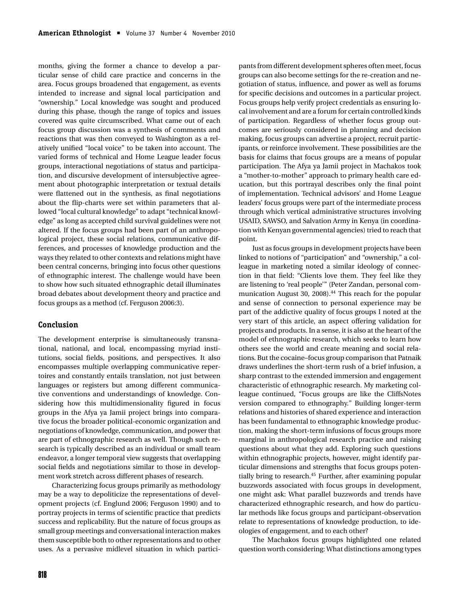months, giving the former a chance to develop a particular sense of child care practice and concerns in the area. Focus groups broadened that engagement, as events intended to increase and signal local participation and "ownership." Local knowledge was sought and produced during this phase, though the range of topics and issues covered was quite circumscribed. What came out of each focus group discussion was a synthesis of comments and reactions that was then conveyed to Washington as a relatively unified "local voice" to be taken into account. The varied forms of technical and Home League leader focus groups, interactional negotiations of status and participation, and discursive development of intersubjective agreement about photographic interpretation or textual details were flattened out in the synthesis, as final negotiations about the flip-charts were set within parameters that allowed "local cultural knowledge" to adapt "technical knowledge" as long as accepted child survival guidelines were not altered. If the focus groups had been part of an anthropological project, these social relations, communicative differences, and processes of knowledge production and the ways they related to other contexts and relations might have been central concerns, bringing into focus other questions of ethnographic interest. The challenge would have been to show how such situated ethnographic detail illuminates broad debates about development theory and practice and focus groups as a method (cf. Ferguson 2006:3).

## **Conclusion**

The development enterprise is simultaneously transnational, national, and local, encompassing myriad institutions, social fields, positions, and perspectives. It also encompasses multiple overlapping communicative repertoires and constantly entails translation, not just between languages or registers but among different communicative conventions and understandings of knowledge. Considering how this multidimensionality figured in focus groups in the Afya ya Jamii project brings into comparative focus the broader political-economic organization and negotiations of knowledge, communication, and power that are part of ethnographic research as well. Though such research is typically described as an individual or small team endeavor, a longer temporal view suggests that overlapping social fields and negotiations similar to those in development work stretch across different phases of research.

Characterizing focus groups primarily as methodology may be a way to depoliticize the representations of development projects (cf. Englund 2006; Ferguson 1990) and to portray projects in terms of scientific practice that predicts success and replicability. But the nature of focus groups as small group meetings and conversational interaction makes them susceptible both to other representations and to other uses. As a pervasive midlevel situation in which participants from different development spheres often meet, focus groups can also become settings for the re-creation and negotiation of status, influence, and power as well as forums for specific decisions and outcomes in a particular project. Focus groups help verify project credentials as ensuring local involvement and are a forum for certain controlled kinds of participation. Regardless of whether focus group outcomes are seriously considered in planning and decision making, focus groups can advertise a project, recruit participants, or reinforce involvement. These possibilities are the basis for claims that focus groups are a means of popular participation. The Afya ya Jamii project in Machakos took a "mother-to-mother" approach to primary health care education, but this portrayal describes only the final point of implementation. Technical advisors' and Home League leaders' focus groups were part of the intermediate process through which vertical administrative structures involving USAID, SAWSO, and Salvation Army in Kenya (in coordination with Kenyan governmental agencies) tried to reach that point.

Just as focus groups in development projects have been linked to notions of "participation" and "ownership," a colleague in marketing noted a similar ideology of connection in that field: "Clients love them. They feel like they are listening to 'real people'" (Peter Zandan, personal communication August 30, 2008).<sup>44</sup> This reach for the popular and sense of connection to personal experience may be part of the addictive quality of focus groups I noted at the very start of this article, an aspect offering validation for projects and products. In a sense, it is also at the heart of the model of ethnographic research, which seeks to learn how others see the world and create meaning and social relations. But the cocaine–focus group comparison that Patnaik draws underlines the short-term rush of a brief infusion, a sharp contrast to the extended immersion and engagement characteristic of ethnographic research. My marketing colleague continued, "Focus groups are like the CliffsNotes version compared to ethnography." Building longer-term relations and histories of shared experience and interaction has been fundamental to ethnographic knowledge production, making the short-term infusions of focus groups more marginal in anthropological research practice and raising questions about what they add. Exploring such questions within ethnographic projects, however, might identify particular dimensions and strengths that focus groups potentially bring to research.<sup>45</sup> Further, after examining popular buzzwords associated with focus groups in development, one might ask: What parallel buzzwords and trends have characterized ethnographic research, and how do particular methods like focus groups and participant-observation relate to representations of knowledge production, to ideologies of engagement, and to each other?

The Machakos focus groups highlighted one related question worth considering: What distinctions among types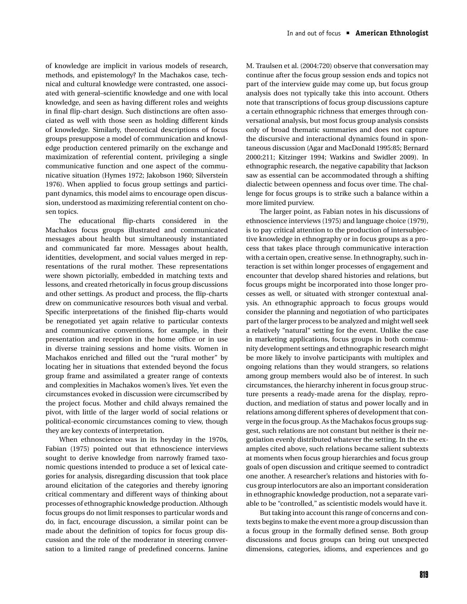of knowledge are implicit in various models of research, methods, and epistemology? In the Machakos case, technical and cultural knowledge were contrasted, one associated with general–scientific knowledge and one with local knowledge, and seen as having different roles and weights in final flip-chart design. Such distinctions are often associated as well with those seen as holding different kinds of knowledge. Similarly, theoretical descriptions of focus groups presuppose a model of communication and knowledge production centered primarily on the exchange and maximization of referential content, privileging a single communicative function and one aspect of the communicative situation (Hymes 1972; Jakobson 1960; Silverstein 1976). When applied to focus group settings and participant dynamics, this model aims to encourage open discussion, understood as maximizing referential content on chosen topics.

The educational flip-charts considered in the Machakos focus groups illustrated and communicated messages about health but simultaneously instantiated and communicated far more. Messages about health, identities, development, and social values merged in representations of the rural mother. These representations were shown pictorially, embedded in matching texts and lessons, and created rhetorically in focus group discussions and other settings. As product and process, the flip-charts drew on communicative resources both visual and verbal. Specific interpretations of the finished flip-charts would be renegotiated yet again relative to particular contexts and communicative conventions, for example, in their presentation and reception in the home office or in use in diverse training sessions and home visits. Women in Machakos enriched and filled out the "rural mother" by locating her in situations that extended beyond the focus group frame and assimilated a greater range of contexts and complexities in Machakos women's lives. Yet even the circumstances evoked in discussion were circumscribed by the project focus. Mother and child always remained the pivot, with little of the larger world of social relations or political-economic circumstances coming to view, though they are key contexts of interpretation.

When ethnoscience was in its heyday in the 1970s, Fabian (1975) pointed out that ethnoscience interviews sought to derive knowledge from narrowly framed taxonomic questions intended to produce a set of lexical categories for analysis, disregarding discussion that took place around elicitation of the categories and thereby ignoring critical commentary and different ways of thinking about processes of ethnographic knowledge production. Although focus groups do not limit responses to particular words and do, in fact, encourage discussion, a similar point can be made about the definition of topics for focus group discussion and the role of the moderator in steering conversation to a limited range of predefined concerns. Janine

M. Traulsen et al. (2004:720) observe that conversation may continue after the focus group session ends and topics not part of the interview guide may come up, but focus group analysis does not typically take this into account. Others note that transcriptions of focus group discussions capture a certain ethnographic richness that emerges through conversational analysis, but most focus group analysis consists only of broad thematic summaries and does not capture the discursive and interactional dynamics found in spontaneous discussion (Agar and MacDonald 1995:85; Bernard 2000:211; Kitzinger 1994; Watkins and Swidler 2009). In ethnographic research, the negative capability that Jackson saw as essential can be accommodated through a shifting dialectic between openness and focus over time. The challenge for focus groups is to strike such a balance within a more limited purview.

The larger point, as Fabian notes in his discussions of ethnoscience interviews (1975) and language choice (1979), is to pay critical attention to the production of intersubjective knowledge in ethnography or in focus groups as a process that takes place through communicative interaction with a certain open, creative sense. In ethnography, such interaction is set within longer processes of engagement and encounter that develop shared histories and relations, but focus groups might be incorporated into those longer processes as well, or situated with stronger contextual analysis. An ethnographic approach to focus groups would consider the planning and negotiation of who participates part of the larger process to be analyzed and might well seek a relatively "natural" setting for the event. Unlike the case in marketing applications, focus groups in both community development settings and ethnographic research might be more likely to involve participants with multiplex and ongoing relations than they would strangers, so relations among group members would also be of interest. In such circumstances, the hierarchy inherent in focus group structure presents a ready-made arena for the display, reproduction, and mediation of status and power locally and in relations among different spheres of development that converge in the focus group. As the Machakos focus groups suggest, such relations are not constant but neither is their negotiation evenly distributed whatever the setting. In the examples cited above, such relations became salient subtexts at moments when focus group hierarchies and focus group goals of open discussion and critique seemed to contradict one another. A researcher's relations and histories with focus group interlocutors are also an important consideration in ethnographic knowledge production, not a separate variable to be "controlled," as scientistic models would have it.

But taking into account this range of concerns and contexts begins to make the event more a group discussion than a focus group in the formally defined sense. Both group discussions and focus groups can bring out unexpected dimensions, categories, idioms, and experiences and go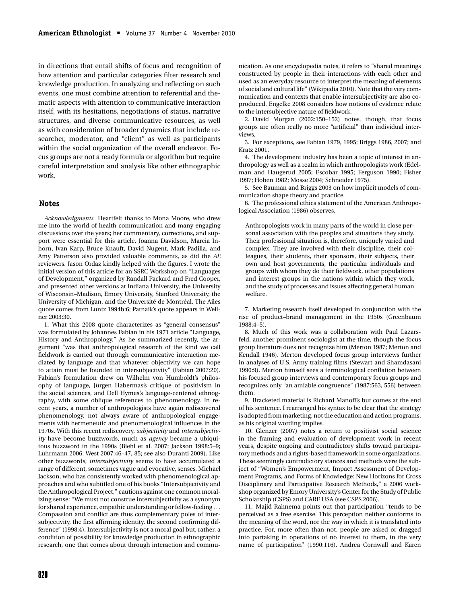in directions that entail shifts of focus and recognition of how attention and particular categories filter research and knowledge production. In analyzing and reflecting on such events, one must combine attention to referential and thematic aspects with attention to communicative interaction itself, with its hesitations, negotiations of status, narrative structures, and diverse communicative resources, as well as with consideration of broader dynamics that include researcher, moderator, and "client" as well as participants within the social organization of the overall endeavor. Focus groups are not a ready formula or algorithm but require careful interpretation and analysis like other ethnographic work.

### **Notes**

*Acknowledgments*. Heartfelt thanks to Mona Moore, who drew me into the world of health communication and many engaging discussions over the years; her commentary, corrections, and support were essential for this article. Joanna Davidson, Marcia Inhorn, Ivan Karp, Bruce Knauft, David Nugent, Mark Padilla, and Amy Patterson also provided valuable comments, as did the *AE* reviewers. Jason Ordaz kindly helped with the figures. I wrote the initial version of this article for an SSRC Workshop on "Languages of Development," organized by Randall Packard and Fred Cooper, and presented other versions at Indiana University, the University of Wisconsin–Madison, Emory University, Stanford University, the University of Michigan, and the Université de Montréal. The Ailes quote comes from Luntz 1994b:6; Patnaik's quote appears in Wellner 2003:30.

1. What this 2008 quote characterizes as "general consensus" was formulated by Johannes Fabian in his 1971 article "Language, History and Anthropology." As he summarized recently, the argument "was that anthropological research of the kind we call fieldwork is carried out through communicative interaction mediated by language and that whatever objectivity we can hope to attain must be founded in intersubjectivity" (Fabian 2007:20). Fabian's formulation drew on Wilhelm von Humboldt's philosophy of language, Jürgen Habermas's critique of positivism in the social sciences, and Dell Hymes's language-centered ethnography, with some oblique references to phenomenology. In recent years, a number of anthropologists have again rediscovered phenomenology, not always aware of anthropological engagements with hermeneutic and phenomenological influences in the 1970s. With this recent rediscovery, *subjectivity* and *intersubjectivity* have become buzzwords, much as *agency* became a ubiquitous buzzword in the 1990s (Biehl et al. 2007; Jackson 1998:5–9; Luhrmann 2006; West 2007:46–47, 85; see also Duranti 2009). Like other buzzwords, *intersubjectivity* seems to have accumulated a range of different, sometimes vague and evocative, senses. Michael Jackson, who has consistently worked with phenomenological approaches and who subtitled one of his books "Intersubjectivity and the Anthropological Project," cautions against one common moralizing sense: "We must not construe intersubjectivity as a synonym for shared experience, empathic understanding or fellow-feeling ... Compassion and conflict are thus complementary poles of intersubjectivity, the first affirming identity, the second confirming difference" (1998:4). Intersubjectivity is not a moral goal but, rather, a condition of possibility for knowledge production in ethnographic research, one that comes about through interaction and communication. As one encyclopedia notes, it refers to "shared meanings constructed by people in their interactions with each other and used as an everyday resource to interpret the meaning of elements of social and cultural life" (Wikipedia 2010). Note that the very communication and contexts that enable intersubjectivity are also coproduced. Engelke 2008 considers how notions of evidence relate to the intersubjective nature of fieldwork.

2. David Morgan (2002:150–152) notes, though, that focus groups are often really no more "artificial" than individual interviews.

3. For exceptions, see Fabian 1979, 1995; Briggs 1986, 2007; and Kratz 2001.

4. The development industry has been a topic of interest in anthropology as well as a realm in which anthropologists work (Edelman and Haugerud 2005; Escobar 1995; Ferguson 1990; Fisher 1997; Hoben 1982; Mosse 2004; Schneider 1975).

5. See Bauman and Briggs 2003 on how implicit models of communication shape theory and practice.

6. The professional ethics statement of the American Anthropological Association (1986) observes,

Anthropologists work in many parts of the world in close personal association with the peoples and situations they study. Their professional situation is, therefore, uniquely varied and complex. They are involved with their discipline, their colleagues, their students, their sponsors, their subjects, their own and host governments, the particular individuals and groups with whom they do their fieldwork, other populations and interest groups in the nations within which they work, and the study of processes and issues affecting general human welfare.

7. Marketing research itself developed in conjunction with the rise of product–brand management in the 1950s (Greenbaum 1988:4–5).

8. Much of this work was a collaboration with Paul Lazarsfeld, another prominent sociologist at the time, though the focus group literature does not recognize him (Merton 1987; Merton and Kendall 1946). Merton developed focus group interviews further in analyses of U.S. Army training films (Stewart and Shamdasani 1990:9). Merton himself sees a terminological conflation between his focused group interviews and contemporary focus groups and recognizes only "an amiable congruence" (1987:563, 556) between them.

9. Bracketed material is Richard Manoff's but comes at the end of his sentence. I rearranged his syntax to be clear that the strategy is adopted from marketing, not the education and action programs, as his original wording implies.

10. Glenzer (2007) notes a return to positivist social science in the framing and evaluation of development work in recent years, despite ongoing and contradictory shifts toward participatory methods and a rights-based framework in some organizations. These seemingly contradictory stances and methods were the subject of "Women's Empowerment, Impact Assessment of Development Programs, and Forms of Knowledge: New Horizons for Cross Disciplinary and Participative Research Methods," a 2006 workshop organized by Emory University's Center for the Study of Public Scholarship (CSPS) and CARE USA (see CSPS 2006).

11. Majid Rahnema points out that participation "tends to be perceived as a free exercise. This perception neither conforms to the meaning of the word, nor the way in which it is translated into practice. For, more often than not, people are asked or dragged into partaking in operations of no interest to them, in the very name of participation" (1990:116). Andrea Cornwall and Karen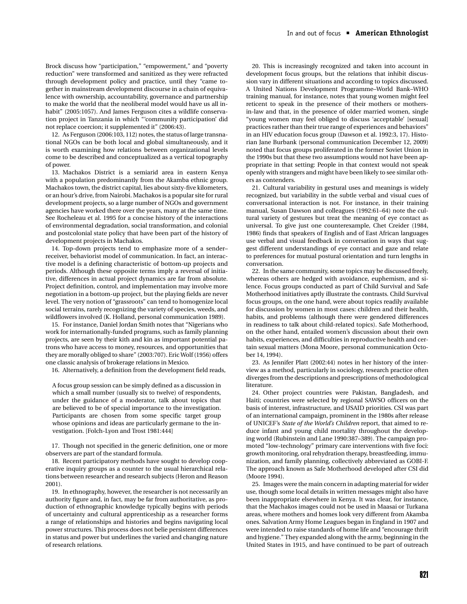Brock discuss how "participation," "empowerment," and "poverty reduction" were transformed and sanitized as they were refracted through development policy and practice, until they "came together in mainstream development discourse in a chain of equivalence with ownership, accountability, governance and partnership to make the world that the neoliberal model would have us all inhabit" (2005:1057). And James Ferguson cites a wildlife conservation project in Tanzania in which "'community participation' did not replace coercion; it supplemented it" (2006:43).

12. As Ferguson (2006:103, 112) notes, the status of large transnational NGOs can be both local and global simultaneously, and it is worth examining how relations between organizational levels come to be described and conceptualized as a vertical topography of power.

13. Machakos District is a semiarid area in eastern Kenya with a population predominantly from the Akamba ethnic group. Machakos town, the district capital, lies about sixty-five kilometers, or an hour's drive, from Nairobi. Machakos is a popular site for rural development projects, so a large number of NGOs and government agencies have worked there over the years, many at the same time. See Rocheleau et al. 1995 for a concise history of the interactions of environmental degradation, social transformation, and colonial and postcolonial state policy that have been part of the history of development projects in Machakos.

14. Top-down projects tend to emphasize more of a sender– receiver, behaviorist model of communication. In fact, an interactive model is a defining characteristic of bottom-up projects and periods. Although these opposite terms imply a reversal of initiative, differences in actual project dynamics are far from absolute. Project definition, control, and implementation may involve more negotiation in a bottom-up project, but the playing fields are never level. The very notion of "grassroots" can tend to homogenize local social terrains, rarely recognizing the variety of species, weeds, and wildflowers involved (K. Holland, personal communication 1989).

15. For instance, Daniel Jordan Smith notes that "Nigerians who work for internationally-funded programs, such as family planning projects, are seen by their kith and kin as important potential patrons who have access to money, resources, and opportunities that they are morally obliged to share" (2003:707). Eric Wolf (1956) offers one classic analysis of brokerage relations in Mexico.

16. Alternatively, a definition from the development field reads,

A focus group session can be simply defined as a discussion in which a small number (usually six to twelve) of respondents, under the guidance of a moderator, talk about topics that are believed to be of special importance to the investigation. Participants are chosen from some specific target group whose opinions and ideas are particularly germane to the investigation. [Folch-Lyon and Trost 1981:444]

17. Though not specified in the generic definition, one or more observers are part of the standard formula.

18. Recent participatory methods have sought to develop cooperative inquiry groups as a counter to the usual hierarchical relations between researcher and research subjects (Heron and Reason 2001).

19. In ethnography, however, the researcher is not necessarily an authority figure and, in fact, may be far from authoritative, as production of ethnographic knowledge typically begins with periods of uncertainty and cultural apprenticeship as a researcher forms a range of relationships and histories and begins navigating local power structures. This process does not belie persistent differences in status and power but underlines the varied and changing nature of research relations.

20. This is increasingly recognized and taken into account in development focus groups, but the relations that inhibit discussion vary in different situations and according to topics discussed. A United Nations Development Programme–World Bank–WHO training manual, for instance, notes that young women might feel reticent to speak in the presence of their mothers or mothersin-law and that, in the presence of older married women, single "young women may feel obliged to discuss 'acceptable' [sexual] practices rather than their true range of experiences and behaviors" in an HIV education focus group (Dawson et al. 1992:3, 17). Historian Jane Burbank (personal communication December 12, 2009) noted that focus groups proliferated in the former Soviet Union in the 1990s but that these two assumptions would not have been appropriate in that setting: People in that context would not speak openly with strangers and might have been likely to see similar others as contenders.

21. Cultural variability in gestural uses and meanings is widely recognized, but variability in the subtle verbal and visual cues of conversational interaction is not. For instance, in their training manual, Susan Dawson and colleagues (1992:61–64) note the cultural variety of gestures but treat the meaning of eye contact as universal. To give just one counterexample, Chet Creider (1984, 1986) finds that speakers of English and of East African languages use verbal and visual feedback in conversation in ways that suggest different understandings of eye contact and gaze and relate to preferences for mutual postural orientation and turn lengths in conversation.

22. In the same community, some topics may be discussed freely, whereas others are hedged with avoidance, euphemism, and silence. Focus groups conducted as part of Child Survival and Safe Motherhood initiatives aptly illustrate the contrasts. Child Survival focus groups, on the one hand, were about topics readily available for discussion by women in most cases: children and their health, habits, and problems (although there were gendered differences in readiness to talk about child-related topics). Safe Motherhood, on the other hand, entailed women's discussion about their own habits, experiences, and difficulties in reproductive health and certain sexual matters (Mona Moore, personal communication October 14, 1994).

23. As Jennifer Platt (2002:44) notes in her history of the interview as a method, particularly in sociology, research practice often diverges from the descriptions and prescriptions of methodological literature.

24. Other project countries were Pakistan, Bangladesh, and Haiti; countries were selected by regional SAWSO officers on the basis of interest, infrastructure, and USAID priorities. CSI was part of an international campaign, prominent in the 1980s after release of UNICEF's *State of the World's Children* report, that aimed to reduce infant and young child mortality throughout the developing world (Rubinstein and Lane 1990:387–389). The campaign promoted "low-technology" primary care interventions with five foci: growth monitoring, oral rehydration therapy, breastfeeding, immunization, and family planning, collectively abbreviated as GOBI-F. The approach known as Safe Motherhood developed after CSI did (Moore 1994).

25. Images were the main concern in adapting material for wider use, though some local details in written messages might also have been inappropriate elsewhere in Kenya. It was clear, for instance, that the Machakos images could not be used in Maasai or Turkana areas, where mothers and homes look very different from Akamba ones. Salvation Army Home Leagues began in England in 1907 and were intended to raise standards of home life and "encourage thrift and hygiene." They expanded along with the army, beginning in the United States in 1915, and have continued to be part of outreach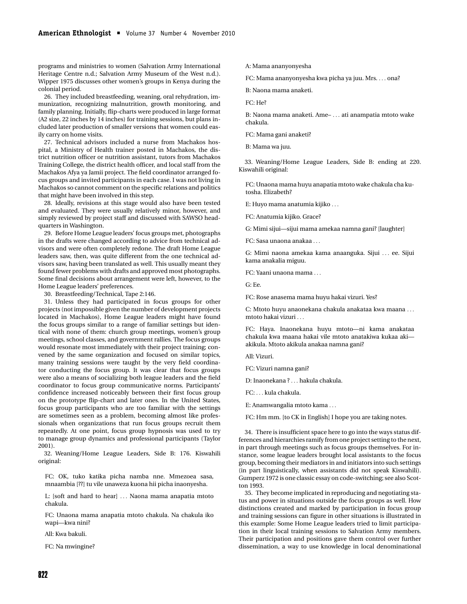programs and ministries to women (Salvation Army International Heritage Centre n.d.; Salvation Army Museum of the West n.d.). Wipper 1975 discusses other women's groups in Kenya during the colonial period.

26. They included breastfeeding, weaning, oral rehydration, immunization, recognizing malnutrition, growth monitoring, and family planning. Initially, flip-charts were produced in large format (A2 size, 22 inches by 14 inches) for training sessions, but plans included later production of smaller versions that women could easily carry on home visits.

27. Technical advisors included a nurse from Machakos hospital, a Ministry of Health trainer posted in Machakos, the district nutrition officer or nutrition assistant, tutors from Machakos Training College, the district health officer, and local staff from the Machakos Afya ya Jamii project. The field coordinator arranged focus groups and invited participants in each case. I was not living in Machakos so cannot comment on the specific relations and politics that might have been involved in this step.

28. Ideally, revisions at this stage would also have been tested and evaluated. They were usually relatively minor, however, and simply reviewed by project staff and discussed with SAWSO headquarters in Washington.

29. Before Home League leaders' focus groups met, photographs in the drafts were changed according to advice from technical advisors and were often completely redone. The draft Home League leaders saw, then, was quite different from the one technical advisors saw, having been translated as well. This usually meant they found fewer problems with drafts and approved most photographs. Some final decisions about arrangement were left, however, to the Home League leaders' preferences.

30. Breastfeeding/Technical, Tape 2:146.

31. Unless they had participated in focus groups for other projects (not impossible given the number of development projects located in Machakos), Home League leaders might have found the focus groups similar to a range of familiar settings but identical with none of them: church group meetings, women's group meetings, school classes, and government rallies. The focus groups would resonate most immediately with their project training; convened by the same organization and focused on similar topics, many training sessions were taught by the very field coordinator conducting the focus group. It was clear that focus groups were also a means of socializing both league leaders and the field coordinator to focus group communicative norms. Participants' confidence increased noticeably between their first focus group on the prototype flip-chart and later ones. In the United States, focus group participants who are too familiar with the settings are sometimes seen as a problem, becoming almost like professionals when organizations that run focus groups recruit them repeatedly. At one point, focus group hypnosis was used to try to manage group dynamics and professional participants (Taylor 2001).

32. Weaning/Home League Leaders, Side B: 176. Kiswahili original:

FC: OK, tuko katika picha namba nne. Mmezoea sasa, mnaambia [??] tu vile unaweza kuona hii picha inaonyesha.

L: [soft and hard to hear] ... Naona mama anapatia mtoto chakula.

FC: Unaona mama anapatia mtoto chakula. Na chakula iko wapi—kwa nini?

All: Kwa bakuli.

FC: Na mwingine?

A: Mama ananyonyesha

FC: Mama ananyonyesha kwa picha ya juu. Mrs. ... ona?

B: Naona mama anaketi.

FC: He?

B: Naona mama anaketi. Ame– ... ati anampatia mtoto wake chakula.

FC: Mama gani anaketi?

B: Mama wa juu.

33. Weaning/Home League Leaders, Side B: ending at 220. Kiswahili original:

FC: Unaona mama huyu anapatia mtoto wake chakula cha kutosha. Elizabeth?

E: Huyo mama anatumia kijiko ...

FC: Anatumia kijiko. Grace?

G: Mimi sijui—sijui mama amekaa namna gani? [laughter]

FC: Sasa unaona anakaa ...

G: Mimi naona amekaa kama anaanguka. Sijui ... ee. Sijui kama anakalia miguu.

FC: Yaani unaona mama ...

G: Ee.

FC: Rose anasema mama huyu hakai vizuri. Yes?

C: Mtoto huyu anaonekana chakula anakataa kwa maana ... mtoto hakai vizuri ...

FC: Haya. Inaonekana huyu mtoto—ni kama anakataa chakula kwa maana hakai vile mtoto anatakiwa kukaa aki akikula. Mtoto akikula anakaa namna gani?

All: Vizuri.

FC: Vizuri namna gani?

D: Inaonekana ? ... hakula chakula.

FC: ... kula chakula.

E: Anamwangalia mtoto kama ...

FC: Hm mm. [to CK in English] I hope you are taking notes.

34. There is insufficient space here to go into the ways status differences and hierarchies ramify from one project setting to the next, in part through meetings such as focus groups themselves. For instance, some league leaders brought local assistants to the focus group, becoming their mediators in and initiators into such settings (in part linguistically, when assistants did not speak Kiswahili). Gumperz 1972 is one classic essay on code-switching; see also Scotton 1993.

35. They become implicated in reproducing and negotiating status and power in situations outside the focus groups as well. How distinctions created and marked by participation in focus group and training sessions can figure in other situations is illustrated in this example: Some Home League leaders tried to limit participation in their local training sessions to Salvation Army members. Their participation and positions gave them control over further dissemination, a way to use knowledge in local denominational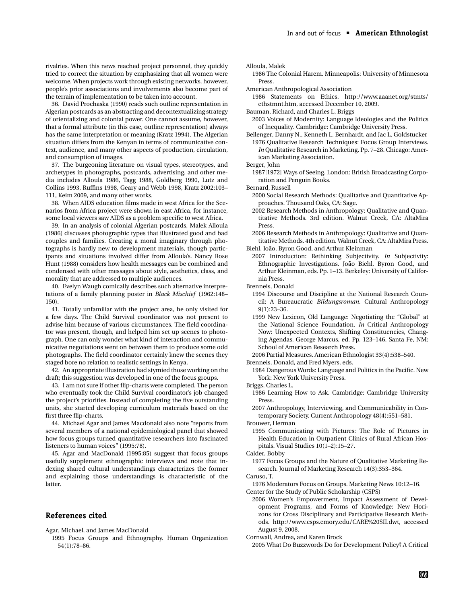rivalries. When this news reached project personnel, they quickly tried to correct the situation by emphasizing that all women were welcome. When projects work through existing networks, however, people's prior associations and involvements also become part of the terrain of implementation to be taken into account.

36. David Prochaska (1990) reads such outline representation in Algerian postcards as an abstracting and decontextualizing strategy of orientalizing and colonial power. One cannot assume, however, that a formal attribute (in this case, outline representation) always has the same interpretation or meaning (Kratz 1994). The Algerian situation differs from the Kenyan in terms of communicative context, audience, and many other aspects of production, circulation, and consumption of images.

37. The burgeoning literature on visual types, stereotypes, and archetypes in photographs, postcards, advertising, and other media includes Alloula 1986, Tagg 1988, Goldberg 1990, Lutz and Collins 1993, Ruffins 1998, Geary and Webb 1998, Kratz 2002:103– 111, Keim 2009, and many other works.

38. When AIDS education films made in west Africa for the Scenarios from Africa project were shown in east Africa, for instance, some local viewers saw AIDS as a problem specific to west Africa.

39. In an analysis of colonial Algerian postcards, Malek Alloula (1986) discusses photographic types that illustrated good and bad couples and families. Creating a moral imaginary through photographs is hardly new to development materials, though participants and situations involved differ from Alloula's. Nancy Rose Hunt (1988) considers how health messages can be combined and condensed with other messages about style, aesthetics, class, and morality that are addressed to multiple audiences.

40. Evelyn Waugh comically describes such alternative interpretations of a family planning poster in *Black Mischief* (1962:148– 150).

41. Totally unfamiliar with the project area, he only visited for a few days. The Child Survival coordinator was not present to advise him because of various circumstances. The field coordinator was present, though, and helped him set up scenes to photograph. One can only wonder what kind of interaction and communicative negotiations went on between them to produce some odd photographs. The field coordinator certainly knew the scenes they staged bore no relation to realistic settings in Kenya.

42. An appropriate illustration had stymied those working on the draft; this suggestion was developed in one of the focus groups.

43. I am not sure if other flip-charts were completed. The person who eventually took the Child Survival coordinator's job changed the project's priorities. Instead of completing the five outstanding units, she started developing curriculum materials based on the first three flip-charts.

44. Michael Agar and James Macdonald also note "reports from several members of a national epidemiological panel that showed how focus groups turned quantitative researchers into fascinated listeners to human voices" (1995:78).

45. Agar and MacDonald (1995:85) suggest that focus groups usefully supplement ethnographic interviews and note that indexing shared cultural understandings characterizes the former and explaining those understandings is characteristic of the latter.

# **References cited**

Agar, Michael, and James MacDonald

1995 Focus Groups and Ethnography. Human Organization 54(1):78–86.

Alloula, Malek

1986 The Colonial Harem. Minneapolis: University of Minnesota Press.

American Anthropological Association

- 1986 Statements on Ethics. http://www.aaanet.org/stmts/ ethstmnt.htm, accessed December 10, 2009.
- Bauman, Richard, and Charles L. Briggs

2003 Voices of Modernity: Language Ideologies and the Politics of Inequality. Cambridge: Cambridge University Press.

Bellenger, Danny N., Kenneth L. Bernhardt, and Jac L. Goldstucker 1976 Qualitative Research Techniques: Focus Group Interviews. *In* Qualitative Research in Marketing. Pp. 7–28. Chicago: American Marketing Association.

Berger, John

1987[1972] Ways of Seeing. London: British Broadcasting Corporation and Penguin Books.

Bernard, Russell

- 2000 Social Research Methods: Qualitative and Quantitative Approaches. Thousand Oaks, CA: Sage.
- 2002 Research Methods in Anthropology: Qualitative and Quantitative Methods. 3rd edition. Walnut Creek, CA: AltaMira Press.

2006 Research Methods in Anthropology: Qualitative and Quantitative Methods. 4th edition. Walnut Creek, CA: AltaMira Press.

Biehl, João, Byron Good, and Arthur Kleinman

- 2007 Introduction: Rethinking Subjectivity. *In* Subjectivity: Ethnographic Investigations. João Biehl, Byron Good, and Arthur Kleinman, eds. Pp. 1–13. Berkeley: University of California Press.
- Brenneis, Donald
	- 1994 Discourse and Discipline at the National Research Council: A Bureaucratic *Bildungsroman*. Cultural Anthropology 9(1):23–36.
	- 1999 New Lexicon, Old Language: Negotiating the "Global" at the National Science Foundation. *In* Critical Anthropology Now: Unexpected Contexts, Shifting Constituencies, Changing Agendas. George Marcus, ed. Pp. 123–146. Santa Fe, NM: School of American Research Press.

2006 Partial Measures. American Ethnologist 33(4):538–540.

- Brenneis, Donald, and Fred Myers, eds.
	- 1984 Dangerous Words: Language and Politics in the Pacific. New York: New York University Press.
- Briggs, Charles L.
	- 1986 Learning How to Ask. Cambridge: Cambridge University Press.
	- 2007 Anthropology, Interviewing, and Communicability in Contemporary Society. Current Anthropology 48(4):551–581.

Brouwer, Herman

1995 Communicating with Pictures: The Role of Pictures in Health Education in Outpatient Clinics of Rural African Hospitals. Visual Studies 10(1–2):15–27.

Calder, Bobby

1977 Focus Groups and the Nature of Qualitative Marketing Research. Journal of Marketing Research 14(3):353–364.

Caruso, T.

- 1976 Moderators Focus on Groups. Marketing News 10:12–16. Center for the Study of Public Scholarship (CSPS)
- 2006 Women's Empowerment, Impact Assessment of Development Programs, and Forms of Knowledge: New Horizons for Cross Disciplinary and Participative Research Methods. http://www.csps.emory.edu/CARE%20SII.dwt, accessed August 9, 2008.

Cornwall, Andrea, and Karen Brock

2005 What Do Buzzwords Do for Development Policy? A Critical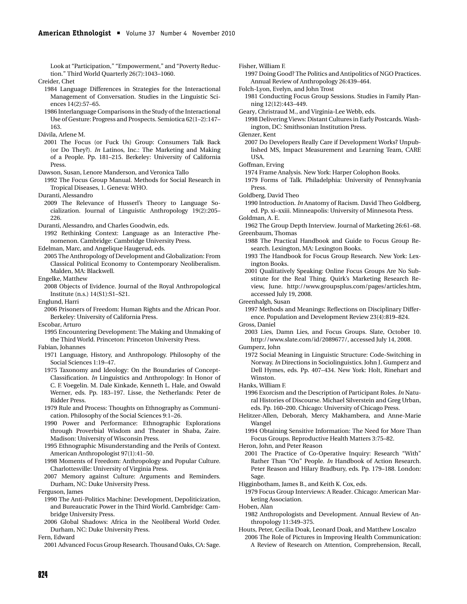Look at "Participation," "Empowerment," and "Poverty Reduction." Third World Quarterly 26(7):1043–1060.

Creider, Chet

- 1984 Language Differences in Strategies for the Interactional Management of Conversation. Studies in the Linguistic Sciences 14(2):57–65.
- 1986 Interlanguage Comparisons in the Study of the Interactional Use of Gesture: Progress and Prospects. Semiotica 62(1–2):147– 163.
- Dávila, Arlene M.
- 2001 The Focus (or Fuck Us) Group: Consumers Talk Back (or Do They?). *In* Latinos, Inc.: The Marketing and Making of a People. Pp. 181–215. Berkeley: University of California Press.
- Dawson, Susan, Lenore Manderson, and Veronica Tallo
- 1992 The Focus Group Manual. Methods for Social Research in Tropical Diseases, 1. Geneva: WHO.

Duranti, Alessandro

- 2009 The Relevance of Husserl's Theory to Language Socialization. Journal of Linguistic Anthropology 19(2):205– 226.
- Duranti, Alessandro, and Charles Goodwin, eds.

1992 Rethinking Context: Language as an Interactive Phenomenon. Cambridge: Cambridge University Press.

Edelman, Marc, and Angelique Haugerud, eds.

2005 The Anthropology of Development and Globalization: From Classical Political Economy to Contemporary Neoliberalism. Malden, MA: Blackwell.

Engelke, Matthew

2008 Objects of Evidence. Journal of the Royal Anthropological Institute (n.s.) 14(S1):S1–S21.

Englund, Harri

2006 Prisoners of Freedom: Human Rights and the African Poor. Berkeley: University of California Press.

Escobar, Arturo

- 1995 Encountering Development: The Making and Unmaking of the Third World. Princeton: Princeton University Press.
- Fabian, Johannes
- 1971 Language, History, and Anthropology. Philosophy of the Social Sciences 1:19–47.
- 1975 Taxonomy and Ideology: On the Boundaries of Concept-Classification. *In* Linguistics and Anthropology: In Honor of C. F. Voegelin. M. Dale Kinkade, Kenneth L. Hale, and Oswald Werner, eds. Pp. 183–197. Lisse, the Netherlands: Peter de Ridder Press.
- 1979 Rule and Process: Thoughts on Ethnography as Communication. Philosophy of the Social Sciences 9:1–26.
- 1990 Power and Performance: Ethnographic Explorations through Proverbial Wisdom and Theater in Shaba, Zaire. Madison: University of Wisconsin Press.
- 1995 Ethnographic Misunderstanding and the Perils of Context. American Anthropologist 97(1):41–50.
- 1998 Moments of Freedom: Anthropology and Popular Culture. Charlottesville: University of Virginia Press.

2007 Memory against Culture: Arguments and Reminders. Durham, NC: Duke University Press.

Ferguson, James

1990 The Anti-Politics Machine: Development, Depoliticization, and Bureaucratic Power in the Third World. Cambridge: Cambridge University Press.

2006 Global Shadows: Africa in the Neoliberal World Order. Durham, NC: Duke University Press.

Fern, Edward

2001 Advanced Focus Group Research. Thousand Oaks, CA: Sage.

Fisher, William F.

1997 Doing Good? The Politics and Antipolitics of NGO Practices. Annual Review of Anthropology 26:439–464.

Folch-Lyon, Evelyn, and John Trost

- 1981 Conducting Focus Group Sessions. Studies in Family Planning 12(12):443–449.
- Geary, Christraud M., and Virginia-Lee Webb, eds.

1998 Delivering Views: Distant Cultures in Early Postcards. Washington, DC: Smithsonian Institution Press.

Glenzer, Kent

2007 Do Developers Really Care if Development Works? Unpublished MS, Impact Measurement and Learning Team, CARE USA.

Goffman, Erving

1974 Frame Analysis. New York: Harper Colophon Books.

1979 Forms of Talk. Philadelphia: University of Pennsylvania Press.

- Goldberg, David Theo
- 1990 Introduction. *In* Anatomy of Racism. David Theo Goldberg, ed. Pp. xi–xxiii. Minneapolis: University of Minnesota Press.

Goldman, A. E.

1962 The Group Depth Interview. Journal of Marketing 26:61–68. Greenbaum, Thomas

- 1988 The Practical Handbook and Guide to Focus Group Research. Lexington, MA: Lexington Books.
- 1993 The Handbook for Focus Group Research. New York: Lexington Books.

2001 Qualitatively Speaking: Online Focus Groups Are No Substitute for the Real Thing. Quirk's Marketing Research Review, June. http://www.groupsplus.com/pages/articles.htm, accessed July 19, 2008.

Greenhalgh, Susan

1997 Methods and Meanings: Reflections on Disciplinary Difference. Population and Development Review 23(4):819–824.

Gross, Daniel

- 2003 Lies, Damn Lies, and Focus Groups. Slate, October 10. http://www.slate.com/id/2089677/, accessed July 14, 2008. Gumperz, John
	- 1972 Social Meaning in Linguistic Structure: Code-Switching in Norway. *In* Directions in Sociolinguistics. John J. Gumperz and Dell Hymes, eds. Pp. 407–434. New York: Holt, Rinehart and Winston.
- Hanks, William F.
	- 1996 Exorcism and the Description of Participant Roles. *In* Natural Histories of Discourse. Michael Silverstein and Greg Urban, eds. Pp. 160–200. Chicago: University of Chicago Press.
- Helitzer-Allen, Deborah, Mercy Makhambera, and Anne-Marie Wangel
	- 1994 Obtaining Sensitive Information: The Need for More Than Focus Groups. Reproductive Health Matters 3:75–82.

Heron, John, and Peter Reason

- 2001 The Practice of Co-Operative Inquiry: Research "With" Rather Than "On" People. *In* Handbook of Action Research. Peter Reason and Hilary Bradbury, eds. Pp. 179–188. London: Sage.
- Higginbotham, James B., and Keith K. Cox, eds.
	- 1979 Focus Group Interviews: A Reader. Chicago: American Marketing Association.

Hoben, Alan

- 1982 Anthropologists and Development. Annual Review of Anthropology 11:349–375.
- Houts, Peter, Cecilia Doak, Leonard Doak, and Matthew Loscalzo 2006 The Role of Pictures in Improving Health Communication: A Review of Research on Attention, Comprehension, Recall,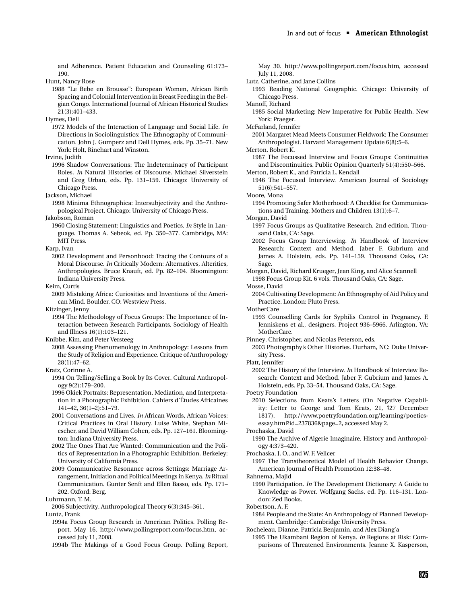and Adherence. Patient Education and Counseling 61:173– 190.

- Hunt, Nancy Rose
	- 1988 "Le Bebe en Brousse": European Women, African Birth Spacing and Colonial Intervention in Breast Feeding in the Belgian Congo. International Journal of African Historical Studies 21(3):401–433.
- Hymes, Dell
	- 1972 Models of the Interaction of Language and Social Life. *In* Directions in Sociolinguistics: The Ethnography of Communication. John J. Gumperz and Dell Hymes, eds. Pp. 35–71. New York: Holt, Rinehart and Winston.

#### Irvine, Judith

1996 Shadow Conversations: The Indeterminacy of Participant Roles. *In* Natural Histories of Discourse. Michael Silverstein and Greg Urban, eds. Pp. 131–159. Chicago: University of Chicago Press.

### Jackson, Michael

1998 Minima Ethnographica: Intersubjectivity and the Anthropological Project. Chicago: University of Chicago Press.

Jakobson, Roman

1960 Closing Statement: Linguistics and Poetics. *In* Style in Language. Thomas A. Sebeok, ed. Pp. 350–377. Cambridge, MA: MIT Press.

Karp, Ivan

2002 Development and Personhood: Tracing the Contours of a Moral Discourse. *In* Critically Modern: Alternatives, Alterities, Anthropologies. Bruce Knauft, ed. Pp. 82–104. Bloomington: Indiana University Press.

Keim, Curtis

2009 Mistaking Africa: Curiosities and Inventions of the American Mind. Boulder, CO: Westview Press.

Kitzinger, Jenny

1994 The Methodology of Focus Groups: The Importance of Interaction between Research Participants. Sociology of Health and Illness 16(1):103–121.

Knibbe, Kim, and Peter Versteeg

2008 Assessing Phenomenology in Anthropology: Lessons from the Study of Religion and Experience. Critique of Anthropology 28(1):47–62.

#### Kratz, Corinne A.

- 1994 On Telling/Selling a Book by Its Cover. Cultural Anthropology 9(2):179–200.
- 1996 Okiek Portraits: Representation, Mediation, and Interpretation in a Photographic Exhibition. Cahiers d'Etudes Africaines ´ 141–42, 36(1–2):51–79.
- 2001 Conversations and Lives. *In* African Words, African Voices: Critical Practices in Oral History. Luise White, Stephan Miescher, and David William Cohen, eds. Pp. 127–161. Bloomington: Indiana University Press.

2002 The Ones That Are Wanted: Communication and the Politics of Representation in a Photographic Exhibition. Berkeley: University of California Press.

2009 Communicative Resonance across Settings: Marriage Arrangement, Initiation and Political Meetings in Kenya. *In* Ritual Communication. Gunter Senft and Ellen Basso, eds. Pp. 171– 202. Oxford: Berg.

Luhrmann, T. M.

2006 Subjectivity. Anthropological Theory 6(3):345–361. Luntz, Frank

1994a Focus Group Research in American Politics. Polling Report, May 16. http://www.pollingreport.com/focus.htm, accessed July 11, 2008.

1994b The Makings of a Good Focus Group. Polling Report,

May 30. http://www.pollingreport.com/focus.htm, accessed July 11, 2008.

Lutz, Catherine, and Jane Collins

1993 Reading National Geographic. Chicago: University of Chicago Press.

Manoff, Richard

- 1985 Social Marketing: New Imperative for Public Health. New York: Praeger.
- McFarland, Jennifer

2001 Margaret Mead Meets Consumer Fieldwork: The Consumer Anthropologist. Harvard Management Update 6(8):5–6.

Merton, Robert K.

- 1987 The Focussed Interview and Focus Groups: Continuities and Discontinuities. Public Opinion Quarterly 51(4):550–566. Merton, Robert K., and Patricia L. Kendall
- 1946 The Focused Interview. American Journal of Sociology 51(6):541–557.

Moore, Mona

1994 Promoting Safer Motherhood: A Checklist for Communications and Training. Mothers and Children 13(1):6–7.

Morgan, David

- 1997 Focus Groups as Qualitative Research. 2nd edition. Thousand Oaks, CA: Sage.
- 2002 Focus Group Interviewing. *In* Handbook of Interview Research: Context and Method. Jaber F. Gubrium and James A. Holstein, eds. Pp. 141–159. Thousand Oaks, CA: Sage.

Morgan, David, Richard Krueger, Jean King, and Alice Scannell 1998 Focus Group Kit. 6 vols. Thousand Oaks, CA: Sage.

Mosse, David

2004 Cultivating Development: An Ethnography of Aid Policy and Practice. London: Pluto Press.

MotherCare

1993 Counselling Cards for Syphilis Control in Pregnancy. F. Jenniskens et al., designers. Project 936–5966. Arlington, VA: MotherCare.

Pinney, Christopher, and Nicolas Peterson, eds.

2003 Photography's Other Histories. Durham, NC: Duke University Press.

- Platt, Jennifer
	- 2002 The History of the Interview. *In* Handbook of Interview Research: Context and Method. Jaber F. Gubrium and James A. Holstein, eds. Pp. 33–54. Thousand Oaks, CA: Sage.
- Poetry Foundation
	- 2010 Selections from Keats's Letters (On Negative Capability: Letter to George and Tom Keats, 21, ?27 December 1817). http://www.poetryfoundation.org/learning/poeticsessay.html?id=237836&page=2, accessed May 2.

Prochaska, David

1990 The Archive of Algerie Imaginaire. History and Anthropology 4:373–420.

Prochaska, J. O., and W. F. Velicer

1997 The Transtheoretical Model of Health Behavior Change. American Journal of Health Promotion 12:38–48.

Rahnema, Majid

- 1990 Participation. *In* The Development Dictionary: A Guide to Knowledge as Power. Wolfgang Sachs, ed. Pp. 116–131. London: Zed Books.
- Robertson, A. F.
	- 1984 People and the State: An Anthropology of Planned Development. Cambridge: Cambridge University Press.

Rocheleau, Dianne, Patricia Benjamin, and Alex Diang'a

1995 The Ukambani Region of Kenya. *In* Regions at Risk: Comparisons of Threatened Environments. Jeanne X. Kasperson,